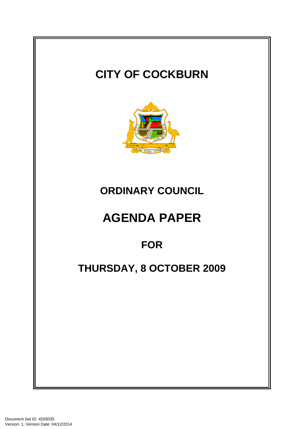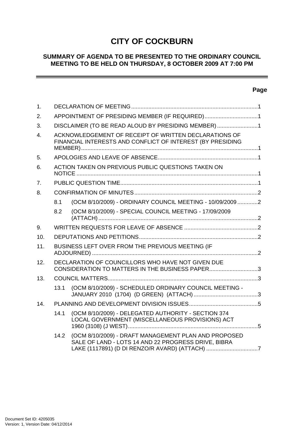# **CITY OF COCKBURN**

## **SUMMARY OF AGENDA TO BE PRESENTED TO THE ORDINARY COUNCIL MEETING TO BE HELD ON THURSDAY, 8 OCTOBER 2009 AT 7:00 PM**

## **Page**

 $\overline{\phantom{a}}$ 

| 1.               |                                                                                                                     |                                                                                                                                                               |  |
|------------------|---------------------------------------------------------------------------------------------------------------------|---------------------------------------------------------------------------------------------------------------------------------------------------------------|--|
| 2.               | APPOINTMENT OF PRESIDING MEMBER (IF REQUIRED)1                                                                      |                                                                                                                                                               |  |
| 3.               | DISCLAIMER (TO BE READ ALOUD BY PRESIDING MEMBER) 1                                                                 |                                                                                                                                                               |  |
| $\overline{4}$ . | ACKNOWLEDGEMENT OF RECEIPT OF WRITTEN DECLARATIONS OF<br>FINANCIAL INTERESTS AND CONFLICT OF INTEREST (BY PRESIDING |                                                                                                                                                               |  |
| 5.               |                                                                                                                     |                                                                                                                                                               |  |
| 6.               | ACTION TAKEN ON PREVIOUS PUBLIC QUESTIONS TAKEN ON                                                                  |                                                                                                                                                               |  |
| 7.               |                                                                                                                     |                                                                                                                                                               |  |
| 8.               |                                                                                                                     |                                                                                                                                                               |  |
|                  | 8.1                                                                                                                 | (OCM 8/10/2009) - ORDINARY COUNCIL MEETING - 10/09/20092                                                                                                      |  |
|                  | 8.2                                                                                                                 | (OCM 8/10/2009) - SPECIAL COUNCIL MEETING - 17/09/2009                                                                                                        |  |
| 9.               |                                                                                                                     |                                                                                                                                                               |  |
| 10.              |                                                                                                                     |                                                                                                                                                               |  |
| 11.              | BUSINESS LEFT OVER FROM THE PREVIOUS MEETING (IF                                                                    |                                                                                                                                                               |  |
| 12.              | DECLARATION OF COUNCILLORS WHO HAVE NOT GIVEN DUE<br>CONSIDERATION TO MATTERS IN THE BUSINESS PAPER3                |                                                                                                                                                               |  |
| 13.              |                                                                                                                     |                                                                                                                                                               |  |
|                  | 13.1                                                                                                                | (OCM 8/10/2009) - SCHEDULED ORDINARY COUNCIL MEETING -                                                                                                        |  |
| 14.              |                                                                                                                     |                                                                                                                                                               |  |
|                  | 14.1                                                                                                                | (OCM 8/10/2009) - DELEGATED AUTHORITY - SECTION 374<br>LOCAL GOVERNMENT (MISCELLANEOUS PROVISIONS) ACT                                                        |  |
|                  | 14.2                                                                                                                | (OCM 8/10/2009) - DRAFT MANAGEMENT PLAN AND PROPOSED<br>SALE OF LAND - LOTS 14 AND 22 PROGRESS DRIVE, BIBRA<br>LAKE (1117891) (D DI RENZO/R AVARD) (ATTACH) 7 |  |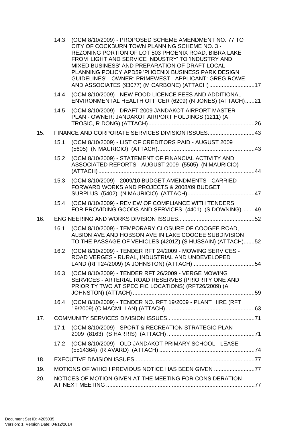|     | 14.3                                               | (OCM 8/10/2009) - PROPOSED SCHEME AMENDMENT NO. 77 TO<br>CITY OF COCKBURN TOWN PLANNING SCHEME NO. 3 -<br>REZONING PORTION OF LOT 503 PHOENIX ROAD, BIBRA LAKE<br>FROM 'LIGHT AND SERVICE INDUSTRY' TO 'INDUSTRY AND<br>MIXED BUSINESS' AND PREPARATION OF DRAFT LOCAL<br>PLANNING POLICY APD59 'PHOENIX BUSINESS PARK DESIGN<br>GUIDELINES' - OWNER: PRIMEWEST - APPLICANT: GREG ROWE |  |  |
|-----|----------------------------------------------------|----------------------------------------------------------------------------------------------------------------------------------------------------------------------------------------------------------------------------------------------------------------------------------------------------------------------------------------------------------------------------------------|--|--|
|     | 14.4                                               | (OCM 8/10/2009) - NEW FOOD LICENCE FEES AND ADDITIONAL<br>ENVIRONMENTAL HEALTH OFFICER (6209) (N JONES) (ATTACH)21                                                                                                                                                                                                                                                                     |  |  |
|     | 14.5                                               | (OCM 8/10/2009) - DRAFT 2009 JANDAKOT AIRPORT MASTER<br>PLAN - OWNER: JANDAKOT AIRPORT HOLDINGS (1211) (A                                                                                                                                                                                                                                                                              |  |  |
| 15. |                                                    | FINANCE AND CORPORATE SERVICES DIVISION ISSUES43                                                                                                                                                                                                                                                                                                                                       |  |  |
|     | 15.1                                               | (OCM 8/10/2009) - LIST OF CREDITORS PAID - AUGUST 2009                                                                                                                                                                                                                                                                                                                                 |  |  |
|     | 15.2                                               | (OCM 8/10/2009) - STATEMENT OF FINANCIAL ACTIVITY AND<br>ASSOCIATED REPORTS - AUGUST 2009 (5505) (N MAURICIO)                                                                                                                                                                                                                                                                          |  |  |
|     | 15.3                                               | (OCM 8/10/2009) - 2009/10 BUDGET AMENDMENTS - CARRIED<br>FORWARD WORKS AND PROJECTS & 2008/09 BUDGET                                                                                                                                                                                                                                                                                   |  |  |
|     | 15.4                                               | (OCM 8/10/2009) - REVIEW OF COMPLIANCE WITH TENDERS<br>FOR PROVIDING GOODS AND SERVICES (4401) (S DOWNING)49                                                                                                                                                                                                                                                                           |  |  |
| 16. |                                                    |                                                                                                                                                                                                                                                                                                                                                                                        |  |  |
|     | 16.1                                               | (OCM 8/10/2009) - TEMPORARY CLOSURE OF COOGEE ROAD,<br>ALBION AVE AND HOBSON AVE IN LAKE COOGEE SUBDIVISION<br>TO THE PASSAGE OF VEHICLES (4201Z) (S HUSSAIN) (ATTACH)52                                                                                                                                                                                                               |  |  |
|     | 16.2                                               | (OCM 8/10/2009) - TENDER RFT 24/2009 - MOWING SERVICES -<br>ROAD VERGES - RURAL, INDUSTRIAL AND UNDEVELOPED                                                                                                                                                                                                                                                                            |  |  |
|     | 16.3                                               | (OCM 8/10/2009) - TENDER RFT 26/2009 - VERGE MOWING<br>SERVICES - ARTERIAL ROAD RESERVES (PRIORITY ONE AND<br>PRIORITY TWO AT SPECIFIC LOCATIONS) (RFT26/2009) (A                                                                                                                                                                                                                      |  |  |
|     | 16.4                                               | (OCM 8/10/2009) - TENDER NO. RFT 19/2009 - PLANT HIRE (RFT                                                                                                                                                                                                                                                                                                                             |  |  |
| 17. |                                                    |                                                                                                                                                                                                                                                                                                                                                                                        |  |  |
|     | 17.1                                               | (OCM 8/10/2009) - SPORT & RECREATION STRATEGIC PLAN                                                                                                                                                                                                                                                                                                                                    |  |  |
|     | 17.2                                               | (OCM 8/10/2009) - OLD JANDAKOT PRIMARY SCHOOL - LEASE                                                                                                                                                                                                                                                                                                                                  |  |  |
| 18. |                                                    |                                                                                                                                                                                                                                                                                                                                                                                        |  |  |
| 19. | MOTIONS OF WHICH PREVIOUS NOTICE HAS BEEN GIVEN 77 |                                                                                                                                                                                                                                                                                                                                                                                        |  |  |
| 20. |                                                    | NOTICES OF MOTION GIVEN AT THE MEETING FOR CONSIDERATION                                                                                                                                                                                                                                                                                                                               |  |  |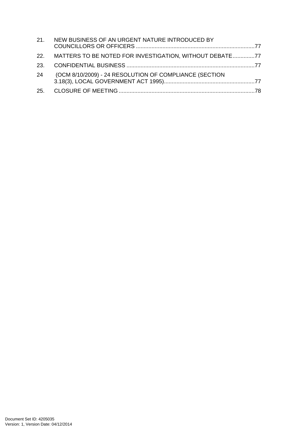|    | 21. NEW BUSINESS OF AN URGENT NATURE INTRODUCED BY          |  |
|----|-------------------------------------------------------------|--|
|    | 22. MATTERS TO BE NOTED FOR INVESTIGATION, WITHOUT DEBATE77 |  |
|    |                                                             |  |
| 24 | (OCM 8/10/2009) - 24 RESOLUTION OF COMPLIANCE (SECTION      |  |
|    |                                                             |  |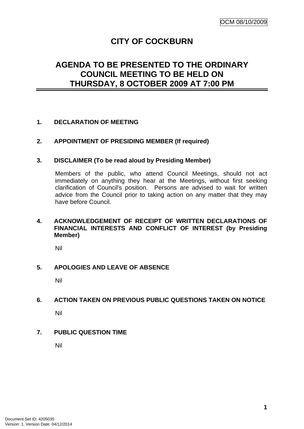# **CITY OF COCKBURN**

# <span id="page-4-0"></span>**AGENDA TO BE PRESENTED TO THE ORDINARY COUNCIL MEETING TO BE HELD ON THURSDAY, 8 OCTOBER 2009 AT 7:00 PM**

## **1. DECLARATION OF MEETING**

## **2. APPOINTMENT OF PRESIDING MEMBER (If required)**

#### **3. DISCLAIMER (To be read aloud by Presiding Member)**

Members of the public, who attend Council Meetings, should not act immediately on anything they hear at the Meetings, without first seeking clarification of Council's position. Persons are advised to wait for written advice from the Council prior to taking action on any matter that they may have before Council.

## **4. ACKNOWLEDGEMENT OF RECEIPT OF WRITTEN DECLARATIONS OF FINANCIAL INTERESTS AND CONFLICT OF INTEREST (by Presiding Member)**

Nil

#### **5. APOLOGIES AND LEAVE OF ABSENCE**

Nil

#### **6. ACTION TAKEN ON PREVIOUS PUBLIC QUESTIONS TAKEN ON NOTICE**

Nil

#### **7. PUBLIC QUESTION TIME**

Nil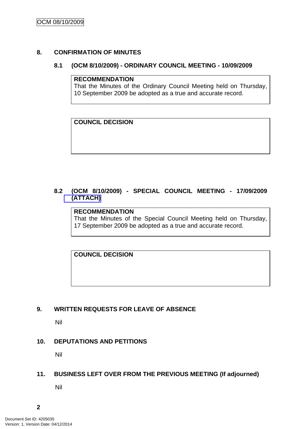## <span id="page-5-0"></span>**8. CONFIRMATION OF MINUTES**

#### **8.1 (OCM 8/10/2009) - ORDINARY COUNCIL MEETING - 10/09/2009**

#### **RECOMMENDATION**

That the Minutes of the Ordinary Council Meeting held on Thursday, 10 September 2009 be adopted as a true and accurate record.

**COUNCIL DECISION** 

## **8.2 (OCM 8/10/2009) - SPECIAL COUNCIL MEETING - 17/09/2009 (ATTACH)**

## **RECOMMENDATION**

That the Minutes of the Special Council Meeting held on Thursday, 17 September 2009 be adopted as a true and accurate record.

## **COUNCIL DECISION**

## **9. WRITTEN REQUESTS FOR LEAVE OF ABSENCE**

Nil

#### **10. DEPUTATIONS AND PETITIONS**

Nil

## **11. BUSINESS LEFT OVER FROM THE PREVIOUS MEETING (If adjourned)**

Nil

**2**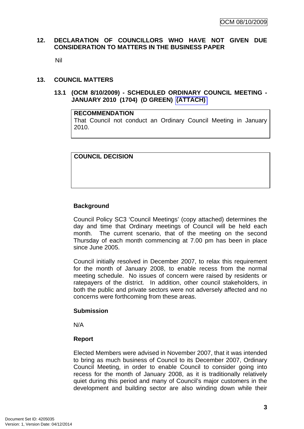### <span id="page-6-0"></span>**12. DECLARATION OF COUNCILLORS WHO HAVE NOT GIVEN DUE CONSIDERATION TO MATTERS IN THE BUSINESS PAPER**

Nil

#### **13. COUNCIL MATTERS**

#### **13.1 (OCM 8/10/2009) - SCHEDULED ORDINARY COUNCIL MEETING - JANUARY 2010 (1704) (D GREEN) (ATTACH)**

#### **RECOMMENDATION**

That Council not conduct an Ordinary Council Meeting in January 2010.

**COUNCIL DECISION** 

#### **Background**

Council Policy SC3 'Council Meetings' (copy attached) determines the day and time that Ordinary meetings of Council will be held each month. The current scenario, that of the meeting on the second Thursday of each month commencing at 7.00 pm has been in place since June 2005.

Council initially resolved in December 2007, to relax this requirement for the month of January 2008, to enable recess from the normal meeting schedule. No issues of concern were raised by residents or ratepayers of the district. In addition, other council stakeholders, in both the public and private sectors were not adversely affected and no concerns were forthcoming from these areas.

#### **Submission**

N/A

#### **Report**

Elected Members were advised in November 2007, that it was intended to bring as much business of Council to its December 2007, Ordinary Council Meeting, in order to enable Council to consider going into recess for the month of January 2008, as it is traditionally relatively quiet during this period and many of Council's major customers in the development and building sector are also winding down while their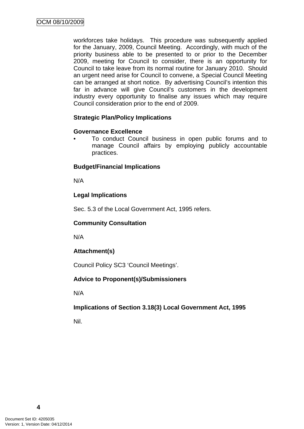workforces take holidays. This procedure was subsequently applied for the January, 2009, Council Meeting. Accordingly, with much of the priority business able to be presented to or prior to the December 2009, meeting for Council to consider, there is an opportunity for Council to take leave from its normal routine for January 2010. Should an urgent need arise for Council to convene, a Special Council Meeting can be arranged at short notice. By advertising Council's intention this far in advance will give Council's customers in the development industry every opportunity to finalise any issues which may require Council consideration prior to the end of 2009.

## **Strategic Plan/Policy Implications**

## **Governance Excellence**

• To conduct Council business in open public forums and to manage Council affairs by employing publicly accountable practices.

## **Budget/Financial Implications**

N/A

## **Legal Implications**

Sec. 5.3 of the Local Government Act, 1995 refers.

#### **Community Consultation**

N/A

## **Attachment(s)**

Council Policy SC3 'Council Meetings'.

#### **Advice to Proponent(s)/Submissioners**

N/A

#### **Implications of Section 3.18(3) Local Government Act, 1995**

Nil.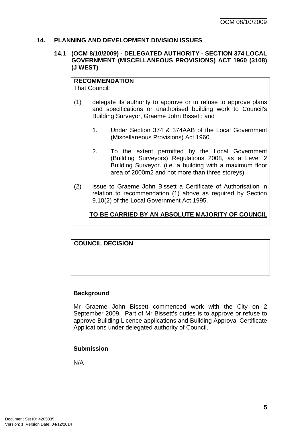#### <span id="page-8-0"></span>**14. PLANNING AND DEVELOPMENT DIVISION ISSUES**

#### **14.1 (OCM 8/10/2009) - DELEGATED AUTHORITY - SECTION 374 LOCAL GOVERNMENT (MISCELLANEOUS PROVISIONS) ACT 1960 (3108) (J WEST)**

**RECOMMENDATION** That Council:

- (1) delegate its authority to approve or to refuse to approve plans and specifications or unathorised building work to Council's Building Surveyor, Graeme John Bissett; and
	- 1. Under Section 374 & 374AAB of the Local Government (Miscellaneous Provisions) Act 1960.
	- 2. To the extent permitted by the Local Government (Building Surveyors) Regulations 2008, as a Level 2 Building Surveyor. (i.e. a building with a maximum floor area of 2000m2 and not more than three storeys).
- (2) issue to Graeme John Bissett a Certificate of Authorisation in relation to recommendation (1) above as required by Section 9.10(2) of the Local Government Act 1995.

**TO BE CARRIED BY AN ABSOLUTE MAJORITY OF COUNCIL**

## **COUNCIL DECISION**

#### **Background**

Mr Graeme John Bissett commenced work with the City on 2 September 2009. Part of Mr Bissett's duties is to approve or refuse to approve Building Licence applications and Building Approval Certificate Applications under delegated authority of Council.

#### **Submission**

N/A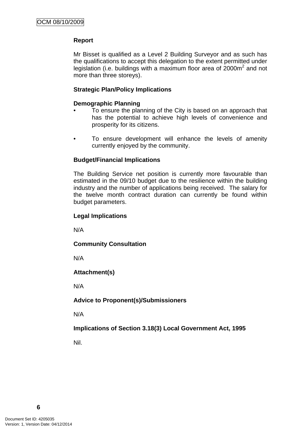## **Report**

Mr Bisset is qualified as a Level 2 Building Surveyor and as such has the qualifications to accept this delegation to the extent permitted under legislation (i.e. buildings with a maximum floor area of  $2000m^2$  and not more than three storeys).

#### **Strategic Plan/Policy Implications**

#### **Demographic Planning**

- To ensure the planning of the City is based on an approach that has the potential to achieve high levels of convenience and prosperity for its citizens.
- To ensure development will enhance the levels of amenity currently enjoyed by the community.

#### **Budget/Financial Implications**

The Building Service net position is currently more favourable than estimated in the 09/10 budget due to the resilience within the building industry and the number of applications being received. The salary for the twelve month contract duration can currently be found within budget parameters.

#### **Legal Implications**

N/A

**Community Consultation** 

N/A

**Attachment(s)**

N/A

**Advice to Proponent(s)/Submissioners** 

N/A

**Implications of Section 3.18(3) Local Government Act, 1995**

Nil.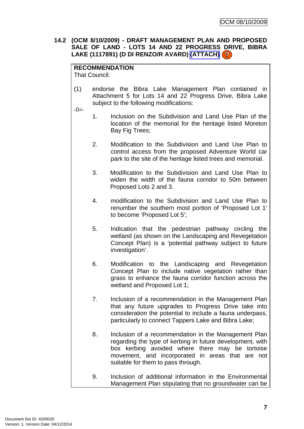## <span id="page-10-0"></span>**14.2 (OCM 8/10/2009) - DRAFT MANAGEMENT PLAN AND PROPOSED SALE OF LAND - LOTS 14 AND 22 PROGRESS DRIVE, BIBRA LAKE (1117891) (D DI RENZO/R AVARD) (ATTACH)**

## **RECOMMENDATION**

That Council:

(1) endorse the Bibra Lake Management Plan contained in Attachment 5 for Lots 14 and 22 Progress Drive, Bibra Lake subject to the following modifications:

 $-0 = -$ 

- 1. Inclusion on the Subdivision and Land Use Plan of the location of the memorial for the heritage listed Moreton Bay Fig Trees;
- 2. Modification to the Subdivision and Land Use Plan to control access from the proposed Adventure World car park to the site of the heritage listed trees and memorial.
- 3. Modification to the Subdivision and Land Use Plan to widen the width of the fauna corridor to 50m between Proposed Lots 2 and 3.
- 4. modification to the Subdivision and Land Use Plan to renumber the southern most portion of 'Proposed Lot 1' to become 'Proposed Lot 5';
- 5. Indication that the pedestrian pathway circling the wetland (as shown on the Landscaping and Revegetation Concept Plan) is a 'potential pathway subject to future investigation'.
- 6. Modification to the Landscaping and Revegetation Concept Plan to include native vegetation rather than grass to enhance the fauna corridor function across the wetland and Proposed Lot 1;
- 7. Inclusion of a recommendation in the Management Plan that any future upgrades to Progress Drive take into consideration the potential to include a fauna underpass, particularly to connect Tappers Lake and Bibra Lake;
- 8. Inclusion of a recommendation in the Management Plan regarding the type of kerbing in future development, with box kerbing avoided where there may be tortoise movement, and incorporated in areas that are not suitable for them to pass through.
- 9. Inclusion of additional information in the Environmental Management Plan stipulating that no groundwater can be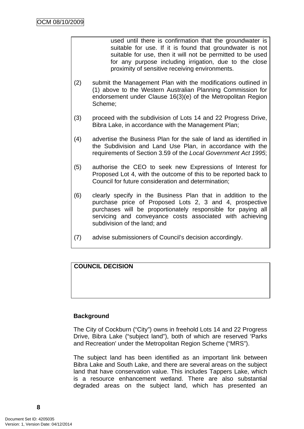used until there is confirmation that the groundwater is suitable for use. If it is found that groundwater is not suitable for use, then it will not be permitted to be used for any purpose including irrigation, due to the close proximity of sensitive receiving environments.

- (2) submit the Management Plan with the modifications outlined in (1) above to the Western Australian Planning Commission for endorsement under Clause 16(3)(e) of the Metropolitan Region Scheme;
- (3) proceed with the subdivision of Lots 14 and 22 Progress Drive, Bibra Lake, in accordance with the Management Plan;
- (4) advertise the Business Plan for the sale of land as identified in the Subdivision and Land Use Plan, in accordance with the requirements of Section 3.59 of the *Local Government Act 1995*;
- (5) authorise the CEO to seek new Expressions of Interest for Proposed Lot 4, with the outcome of this to be reported back to Council for future consideration and determination;
- (6) clearly specify in the Business Plan that in addition to the purchase price of Proposed Lots 2, 3 and 4, prospective purchases will be proportionately responsible for paying all servicing and conveyance costs associated with achieving subdivision of the land; and
- (7) advise submissioners of Council's decision accordingly.

## **COUNCIL DECISION**

#### **Background**

The City of Cockburn ("City") owns in freehold Lots 14 and 22 Progress Drive, Bibra Lake ("subject land"), both of which are reserved 'Parks and Recreation' under the Metropolitan Region Scheme ("MRS").

The subject land has been identified as an important link between Bibra Lake and South Lake, and there are several areas on the subject land that have conservation value. This includes Tappers Lake, which is a resource enhancement wetland. There are also substantial degraded areas on the subject land, which has presented an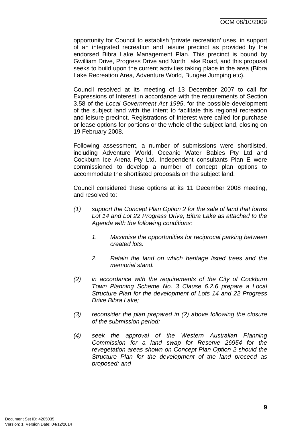opportunity for Council to establish 'private recreation' uses, in support of an integrated recreation and leisure precinct as provided by the endorsed Bibra Lake Management Plan. This precinct is bound by Gwilliam Drive, Progress Drive and North Lake Road, and this proposal seeks to build upon the current activities taking place in the area (Bibra Lake Recreation Area, Adventure World, Bungee Jumping etc).

Council resolved at its meeting of 13 December 2007 to call for Expressions of Interest in accordance with the requirements of Section 3.58 of the *Local Government Act 1995*, for the possible development of the subject land with the intent to facilitate this regional recreation and leisure precinct. Registrations of Interest were called for purchase or lease options for portions or the whole of the subject land, closing on 19 February 2008.

Following assessment, a number of submissions were shortlisted, including Adventure World, Oceanic Water Babies Pty Ltd and Cockburn Ice Arena Pty Ltd. Independent consultants Plan E were commissioned to develop a number of concept plan options to accommodate the shortlisted proposals on the subject land.

Council considered these options at its 11 December 2008 meeting, and resolved to:

- *(1) support the Concept Plan Option 2 for the sale of land that forms Lot 14 and Lot 22 Progress Drive, Bibra Lake as attached to the Agenda with the following conditions:* 
	- *1. Maximise the opportunities for reciprocal parking between created lots.*
	- *2. Retain the land on which heritage listed trees and the memorial stand.*
- *(2) in accordance with the requirements of the City of Cockburn Town Planning Scheme No. 3 Clause 6.2.6 prepare a Local Structure Plan for the development of Lots 14 and 22 Progress Drive Bibra Lake;*
- *(3) reconsider the plan prepared in (2) above following the closure of the submission period;*
- *(4) seek the approval of the Western Australian Planning Commission for a land swap for Reserve 26954 for the revegetation areas shown on Concept Plan Option 2 should the Structure Plan for the development of the land proceed as proposed; and*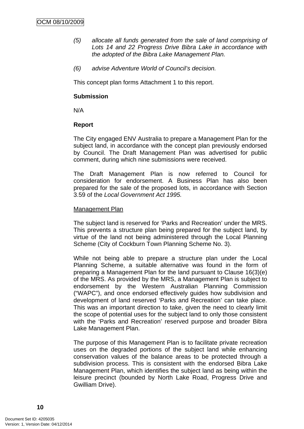- *(5) allocate all funds generated from the sale of land comprising of Lots 14 and 22 Progress Drive Bibra Lake in accordance with the adopted of the Bibra Lake Management Plan.*
- *(6) advise Adventure World of Council's decision.*

This concept plan forms Attachment 1 to this report.

#### **Submission**

N/A

#### **Report**

The City engaged ENV Australia to prepare a Management Plan for the subject land, in accordance with the concept plan previously endorsed by Council. The Draft Management Plan was advertised for public comment, during which nine submissions were received.

The Draft Management Plan is now referred to Council for consideration for endorsement. A Business Plan has also been prepared for the sale of the proposed lots, in accordance with Section 3.59 of the *Local Government Act 1995.*

#### Management Plan

The subject land is reserved for 'Parks and Recreation' under the MRS. This prevents a structure plan being prepared for the subject land, by virtue of the land not being administered through the Local Planning Scheme (City of Cockburn Town Planning Scheme No. 3).

While not being able to prepare a structure plan under the Local Planning Scheme, a suitable alternative was found in the form of preparing a Management Plan for the land pursuant to Clause 16(3)(e) of the MRS. As provided by the MRS, a Management Plan is subject to endorsement by the Western Australian Planning Commission ("WAPC"), and once endorsed effectively guides how subdivision and development of land reserved 'Parks and Recreation' can take place. This was an important direction to take, given the need to clearly limit the scope of potential uses for the subject land to only those consistent with the 'Parks and Recreation' reserved purpose and broader Bibra Lake Management Plan.

The purpose of this Management Plan is to facilitate private recreation uses on the degraded portions of the subject land while enhancing conservation values of the balance areas to be protected through a subdivision process. This is consistent with the endorsed Bibra Lake Management Plan, which identifies the subject land as being within the leisure precinct (bounded by North Lake Road, Progress Drive and Gwilliam Drive).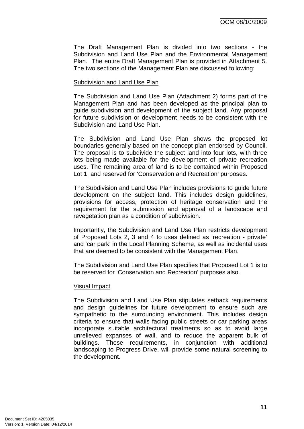The Draft Management Plan is divided into two sections - the Subdivision and Land Use Plan and the Environmental Management Plan. The entire Draft Management Plan is provided in Attachment 5. The two sections of the Management Plan are discussed following:

#### Subdivision and Land Use Plan

The Subdivision and Land Use Plan (Attachment 2) forms part of the Management Plan and has been developed as the principal plan to guide subdivision and development of the subject land. Any proposal for future subdivision or development needs to be consistent with the Subdivision and Land Use Plan.

The Subdivision and Land Use Plan shows the proposed lot boundaries generally based on the concept plan endorsed by Council. The proposal is to subdivide the subject land into four lots, with three lots being made available for the development of private recreation uses. The remaining area of land is to be contained within Proposed Lot 1, and reserved for 'Conservation and Recreation' purposes.

The Subdivision and Land Use Plan includes provisions to guide future development on the subject land. This includes design guidelines, provisions for access, protection of heritage conservation and the requirement for the submission and approval of a landscape and revegetation plan as a condition of subdivision.

Importantly, the Subdivision and Land Use Plan restricts development of Proposed Lots 2, 3 and 4 to uses defined as 'recreation - private' and 'car park' in the Local Planning Scheme, as well as incidental uses that are deemed to be consistent with the Management Plan.

The Subdivision and Land Use Plan specifies that Proposed Lot 1 is to be reserved for 'Conservation and Recreation' purposes also.

#### Visual Impact

The Subdivision and Land Use Plan stipulates setback requirements and design guidelines for future development to ensure such are sympathetic to the surrounding environment. This includes design criteria to ensure that walls facing public streets or car parking areas incorporate suitable architectural treatments so as to avoid large unrelieved expanses of wall, and to reduce the apparent bulk of buildings. These requirements, in conjunction with additional landscaping to Progress Drive, will provide some natural screening to the development.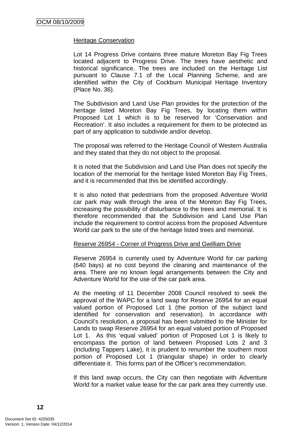#### Heritage Conservation

Lot 14 Progress Drive contains three mature Moreton Bay Fig Trees located adjacent to Progress Drive. The trees have aesthetic and historical significance. The trees are included on the Heritage List pursuant to Clause 7.1 of the Local Planning Scheme, and are identified within the City of Cockburn Municipal Heritage Inventory (Place No. 36).

The Subdivision and Land Use Plan provides for the protection of the heritage listed Moreton Bay Fig Trees, by locating them within Proposed Lot 1 which is to be reserved for 'Conservation and Recreation'. It also includes a requirement for them to be protected as part of any application to subdivide and/or develop.

The proposal was referred to the Heritage Council of Western Australia and they stated that they do not object to the proposal.

It is noted that the Subdivision and Land Use Plan does not specify the location of the memorial for the heritage listed Moreton Bay Fig Trees, and it is recommended that this be identified accordingly.

It is also noted that pedestrians from the proposed Adventure World car park may walk through the area of the Moreton Bay Fig Trees, increasing the possibility of disturbance to the trees and memorial. It is therefore recommended that the Subdivision and Land Use Plan include the requirement to control access from the proposed Adventure World car park to the site of the heritage listed trees and memorial.

#### Reserve 26954 - Corner of Progress Drive and Gwilliam Drive

Reserve 26954 is currently used by Adventure World for car parking (640 bays) at no cost beyond the cleaning and maintenance of the area. There are no known legal arrangements between the City and Adventure World for the use of the car park area.

At the meeting of 11 December 2008 Council resolved to seek the approval of the WAPC for a land swap for Reserve 26954 for an equal valued portion of Proposed Lot 1 (the portion of the subject land identified for conservation and reservation). In accordance with Council's resolution, a proposal has been submitted to the Minister for Lands to swap Reserve 26954 for an equal valued portion of Proposed Lot 1. As this 'equal valued' portion of Proposed Lot 1 is likely to encompass the portion of land between Proposed Lots 2 and 3 (including Tappers Lake), it is prudent to renumber the southern most portion of Proposed Lot 1 (triangular shape) in order to clearly differentiate it. This forms part of the Officer's recommendation.

If this land swap occurs, the City can then negotiate with Adventure World for a market value lease for the car park area they currently use.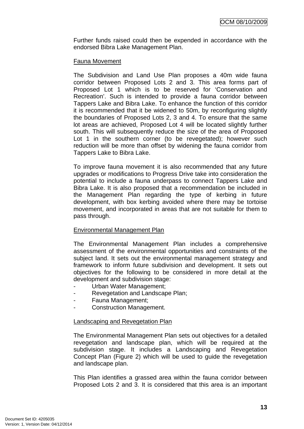Further funds raised could then be expended in accordance with the endorsed Bibra Lake Management Plan.

### Fauna Movement

The Subdivision and Land Use Plan proposes a 40m wide fauna corridor between Proposed Lots 2 and 3. This area forms part of Proposed Lot 1 which is to be reserved for 'Conservation and Recreation'. Such is intended to provide a fauna corridor between Tappers Lake and Bibra Lake. To enhance the function of this corridor it is recommended that it be widened to 50m, by reconfiguring slightly the boundaries of Proposed Lots 2, 3 and 4. To ensure that the same lot areas are achieved, Proposed Lot 4 will be located slightly further south. This will subsequently reduce the size of the area of Proposed Lot 1 in the southern corner (to be revegetated); however such reduction will be more than offset by widening the fauna corridor from Tappers Lake to Bibra Lake.

To improve fauna movement it is also recommended that any future upgrades or modifications to Progress Drive take into consideration the potential to include a fauna underpass to connect Tappers Lake and Bibra Lake. It is also proposed that a recommendation be included in the Management Plan regarding the type of kerbing in future development, with box kerbing avoided where there may be tortoise movement, and incorporated in areas that are not suitable for them to pass through.

## Environmental Management Plan

The Environmental Management Plan includes a comprehensive assessment of the environmental opportunities and constraints of the subject land. It sets out the environmental management strategy and framework to inform future subdivision and development. It sets out objectives for the following to be considered in more detail at the development and subdivision stage:

- Urban Water Management;
- Revegetation and Landscape Plan:
- Fauna Management;
- Construction Management.

#### Landscaping and Revegetation Plan

The Environmental Management Plan sets out objectives for a detailed revegetation and landscape plan, which will be required at the subdivision stage. It includes a Landscaping and Revegetation Concept Plan (Figure 2) which will be used to guide the revegetation and landscape plan.

This Plan identifies a grassed area within the fauna corridor between Proposed Lots 2 and 3. It is considered that this area is an important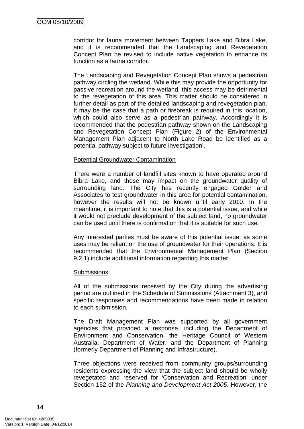corridor for fauna movement between Tappers Lake and Bibra Lake, and it is recommended that the Landscaping and Revegetation Concept Plan be revised to include native vegetation to enhance its function as a fauna corridor.

The Landscaping and Revegetation Concept Plan shows a pedestrian pathway circling the wetland. While this may provide the opportunity for passive recreation around the wetland, this access may be detrimental to the revegetation of this area. This matter should be considered in further detail as part of the detailed landscaping and revegetation plan. It may be the case that a path or firebreak is required in this location, which could also serve as a pedestrian pathway. Accordingly it is recommended that the pedestrian pathway shown on the Landscaping and Revegetation Concept Plan (Figure 2) of the Environmental Management Plan adjacent to North Lake Road be identified as a potential pathway subject to future investigation'.

#### Potential Groundwater Contamination

There were a number of landfill sites known to have operated around Bibra Lake, and these may impact on the groundwater quality of surrounding land. The City has recently engaged Golder and Associates to test groundwater in this area for potential contamination, however the results will not be known until early 2010. In the meantime, it is important to note that this is a potential issue, and while it would not preclude development of the subject land, no groundwater can be used until there is confirmation that it is suitable for such use.

Any interested parties must be aware of this potential issue, as some uses may be reliant on the use of groundwater for their operations. It is recommended that the Environmental Management Plan (Section 9.2.1) include additional information regarding this matter.

#### **Submissions**

All of the submissions received by the City during the advertising period are outlined in the Schedule of Submissions (Attachment 3), and specific responses and recommendations have been made in relation to each submission.

The Draft Management Plan was supported by all government agencies that provided a response, including the Department of Environment and Conservation, the Heritage Council of Western Australia, Department of Water, and the Department of Planning (formerly Department of Planning and Infrastructure).

Three objections were received from community groups/surrounding residents expressing the view that the subject land should be wholly revegetated and reserved for 'Conservation and Recreation' under Section 152 of the *Planning and Development Act 2005*. However, the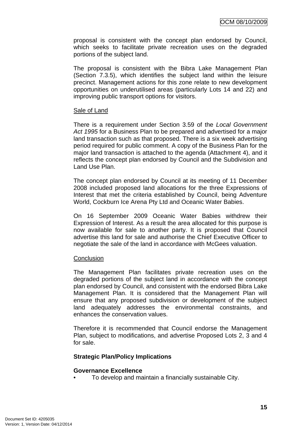proposal is consistent with the concept plan endorsed by Council, which seeks to facilitate private recreation uses on the degraded portions of the subject land.

The proposal is consistent with the Bibra Lake Management Plan (Section 7.3.5), which identifies the subject land within the leisure precinct. Management actions for this zone relate to new development opportunities on underutilised areas (particularly Lots 14 and 22) and improving public transport options for visitors.

#### Sale of Land

There is a requirement under Section 3.59 of the *Local Government Act 1995* for a Business Plan to be prepared and advertised for a major land transaction such as that proposed. There is a six week advertising period required for public comment. A copy of the Business Plan for the major land transaction is attached to the agenda (Attachment 4), and it reflects the concept plan endorsed by Council and the Subdivision and Land Use Plan.

The concept plan endorsed by Council at its meeting of 11 December 2008 included proposed land allocations for the three Expressions of Interest that met the criteria established by Council, being Adventure World, Cockburn Ice Arena Pty Ltd and Oceanic Water Babies.

On 16 September 2009 Oceanic Water Babies withdrew their Expression of Interest. As a result the area allocated for this purpose is now available for sale to another party. It is proposed that Council advertise this land for sale and authorise the Chief Executive Officer to negotiate the sale of the land in accordance with McGees valuation.

#### **Conclusion**

The Management Plan facilitates private recreation uses on the degraded portions of the subject land in accordance with the concept plan endorsed by Council, and consistent with the endorsed Bibra Lake Management Plan. It is considered that the Management Plan will ensure that any proposed subdivision or development of the subject land adequately addresses the environmental constraints, and enhances the conservation values.

Therefore it is recommended that Council endorse the Management Plan, subject to modifications, and advertise Proposed Lots 2, 3 and 4 for sale.

#### **Strategic Plan/Policy Implications**

#### **Governance Excellence**

• To develop and maintain a financially sustainable City.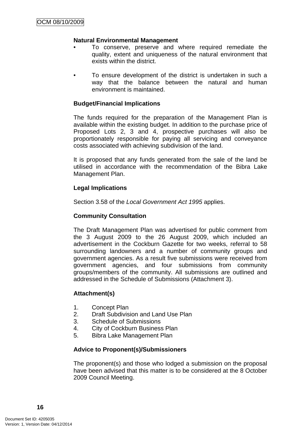#### **Natural Environmental Management**

- To conserve, preserve and where required remediate the quality, extent and uniqueness of the natural environment that exists within the district.
- To ensure development of the district is undertaken in such a way that the balance between the natural and human environment is maintained.

#### **Budget/Financial Implications**

The funds required for the preparation of the Management Plan is available within the existing budget. In addition to the purchase price of Proposed Lots 2, 3 and 4, prospective purchases will also be proportionately responsible for paying all servicing and conveyance costs associated with achieving subdivision of the land.

It is proposed that any funds generated from the sale of the land be utilised in accordance with the recommendation of the Bibra Lake Management Plan.

#### **Legal Implications**

Section 3.58 of the *Local Government Act 1995* applies.

#### **Community Consultation**

The Draft Management Plan was advertised for public comment from the 3 August 2009 to the 26 August 2009, which included an advertisement in the Cockburn Gazette for two weeks, referral to 58 surrounding landowners and a number of community groups and government agencies. As a result five submissions were received from government agencies, and four submissions from community groups/members of the community. All submissions are outlined and addressed in the Schedule of Submissions (Attachment 3).

#### **Attachment(s)**

- 1. Concept Plan
- 2. Draft Subdivision and Land Use Plan
- 3. Schedule of Submissions
- 4. City of Cockburn Business Plan
- 5. Bibra Lake Management Plan

#### **Advice to Proponent(s)/Submissioners**

The proponent(s) and those who lodged a submission on the proposal have been advised that this matter is to be considered at the 8 October 2009 Council Meeting.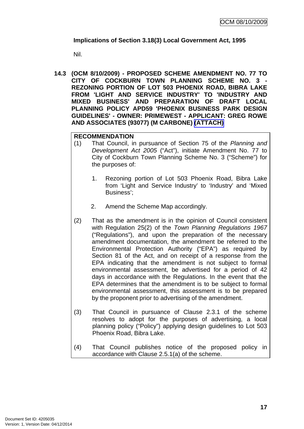## <span id="page-20-0"></span>**Implications of Section 3.18(3) Local Government Act, 1995**

Nil.

**14.3 (OCM 8/10/2009) - PROPOSED SCHEME AMENDMENT NO. 77 TO CITY OF COCKBURN TOWN PLANNING SCHEME NO. 3 - REZONING PORTION OF LOT 503 PHOENIX ROAD, BIBRA LAKE FROM 'LIGHT AND SERVICE INDUSTRY' TO 'INDUSTRY AND MIXED BUSINESS' AND PREPARATION OF DRAFT LOCAL PLANNING POLICY APD59 'PHOENIX BUSINESS PARK DESIGN GUIDELINES' - OWNER: PRIMEWEST - APPLICANT: GREG ROWE AND ASSOCIATES (93077) (M CARBONE) (ATTACH)** 

## **RECOMMENDATION**

- (1) That Council, in pursuance of Section 75 of the *Planning and Development Act 2005* ("Act"), initiate Amendment No. 77 to City of Cockburn Town Planning Scheme No. 3 ("Scheme") for the purposes of:
	- 1. Rezoning portion of Lot 503 Phoenix Road, Bibra Lake from 'Light and Service Industry' to 'Industry' and 'Mixed Business';
	- 2. Amend the Scheme Map accordingly.
- (2) That as the amendment is in the opinion of Council consistent with Regulation 25(2) of the *Town Planning Regulations 1967* ("Regulations"), and upon the preparation of the necessary amendment documentation, the amendment be referred to the Environmental Protection Authority ("EPA") as required by Section 81 of the Act, and on receipt of a response from the EPA indicating that the amendment is not subject to formal environmental assessment, be advertised for a period of 42 days in accordance with the Regulations. In the event that the EPA determines that the amendment is to be subject to formal environmental assessment, this assessment is to be prepared by the proponent prior to advertising of the amendment.
- (3) That Council in pursuance of Clause 2.3.1 of the scheme resolves to adopt for the purposes of advertising, a local planning policy ("Policy") applying design guidelines to Lot 503 Phoenix Road, Bibra Lake.
- (4) That Council publishes notice of the proposed policy in accordance with Clause 2.5.1(a) of the scheme.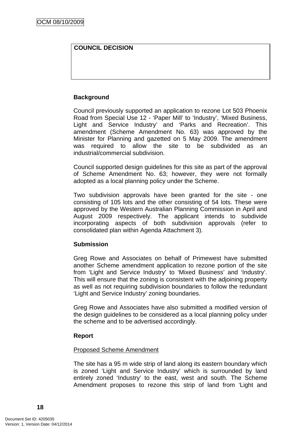## **COUNCIL DECISION**

## **Background**

Council previously supported an application to rezone Lot 503 Phoenix Road from Special Use 12 - 'Paper Mill' to 'Industry', 'Mixed Business, Light and Service Industry' and 'Parks and Recreation'. This amendment (Scheme Amendment No. 63) was approved by the Minister for Planning and gazetted on 5 May 2009. The amendment was required to allow the site to be subdivided as an industrial/commercial subdivision.

Council supported design guidelines for this site as part of the approval of Scheme Amendment No. 63; however, they were not formally adopted as a local planning policy under the Scheme.

Two subdivision approvals have been granted for the site - one consisting of 105 lots and the other consisting of 54 lots. These were approved by the Western Australian Planning Commission in April and August 2009 respectively. The applicant intends to subdivide incorporating aspects of both subdivision approvals (refer to consolidated plan within Agenda Attachment 3).

#### **Submission**

Greg Rowe and Associates on behalf of Primewest have submitted another Scheme amendment application to rezone portion of the site from 'Light and Service Industry' to 'Mixed Business' and 'Industry'. This will ensure that the zoning is consistent with the adjoining property as well as not requiring subdivision boundaries to follow the redundant 'Light and Service Industry' zoning boundaries.

Greg Rowe and Associates have also submitted a modified version of the design guidelines to be considered as a local planning policy under the scheme and to be advertised accordingly.

#### **Report**

#### Proposed Scheme Amendment

The site has a 95 m wide strip of land along its eastern boundary which is zoned 'Light and Service Industry' which is surrounded by land entirely zoned 'Industry' to the east, west and south. The Scheme Amendment proposes to rezone this strip of land from 'Light and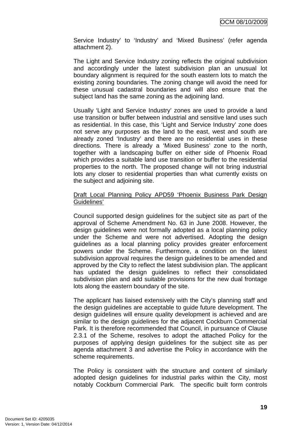Service Industry' to 'Industry' and 'Mixed Business' (refer agenda attachment 2).

The Light and Service Industry zoning reflects the original subdivision and accordingly under the latest subdivision plan an unusual lot boundary alignment is required for the south eastern lots to match the existing zoning boundaries. The zoning change will avoid the need for these unusual cadastral boundaries and will also ensure that the subject land has the same zoning as the adjoining land.

Usually 'Light and Service Industry' zones are used to provide a land use transition or buffer between industrial and sensitive land uses such as residential. In this case, this 'Light and Service Industry' zone does not serve any purposes as the land to the east, west and south are already zoned 'Industry' and there are no residential uses in these directions. There is already a 'Mixed Business' zone to the north, together with a landscaping buffer on either side of Phoenix Road which provides a suitable land use transition or buffer to the residential properties to the north. The proposed change will not bring industrial lots any closer to residential properties than what currently exists on the subject and adjoining site.

#### Draft Local Planning Policy APD59 'Phoenix Business Park Design Guidelines'

Council supported design guidelines for the subject site as part of the approval of Scheme Amendment No. 63 in June 2008. However, the design guidelines were not formally adopted as a local planning policy under the Scheme and were not advertised. Adopting the design guidelines as a local planning policy provides greater enforcement powers under the Scheme. Furthermore, a condition on the latest subdivision approval requires the design guidelines to be amended and approved by the City to reflect the latest subdivision plan. The applicant has updated the design guidelines to reflect their consolidated subdivision plan and add suitable provisions for the new dual frontage lots along the eastern boundary of the site.

The applicant has liaised extensively with the City's planning staff and the design guidelines are acceptable to guide future development. The design guidelines will ensure quality development is achieved and are similar to the design guidelines for the adjacent Cockburn Commercial Park. It is therefore recommended that Council, in pursuance of Clause 2.3.1 of the Scheme, resolves to adopt the attached Policy for the purposes of applying design guidelines for the subject site as per agenda attachment 3 and advertise the Policy in accordance with the scheme requirements.

The Policy is consistent with the structure and content of similarly adopted design guidelines for industrial parks within the City, most notably Cockburn Commercial Park. The specific built form controls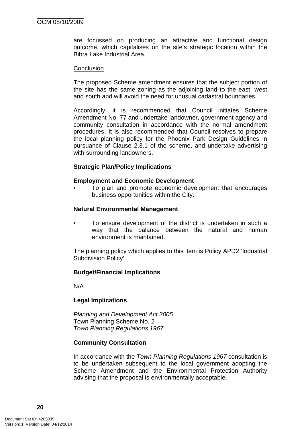are focussed on producing an attractive and functional design outcome, which capitalises on the site's strategic location within the Bibra Lake Industrial Area.

#### **Conclusion**

The proposed Scheme amendment ensures that the subject portion of the site has the same zoning as the adjoining land to the east, west and south and will avoid the need for unusual cadastral boundaries.

Accordingly, it is recommended that Council initiates Scheme Amendment No. 77 and undertake landowner, government agency and community consultation in accordance with the normal amendment procedures. It is also recommended that Council resolves to prepare the local planning policy for the Phoenix Park Design Guidelines in pursuance of Clause 2.3.1 of the scheme, and undertake advertising with surrounding landowners.

#### **Strategic Plan/Policy Implications**

#### **Employment and Economic Development**

• To plan and promote economic development that encourages business opportunities within the City.

#### **Natural Environmental Management**

• To ensure development of the district is undertaken in such a way that the balance between the natural and human environment is maintained.

The planning policy which applies to this item is Policy APD2 'Industrial Subdivision Policy'.

#### **Budget/Financial Implications**

N/A

#### **Legal Implications**

*Planning and Development Act 2005*  Town Planning Scheme No. 2 *Town Planning Regulations 1967* 

#### **Community Consultation**

In accordance with the *Town Planning Regulations 1967* consultation is to be undertaken subsequent to the local government adopting the Scheme Amendment and the Environmental Protection Authority advising that the proposal is environmentally acceptable.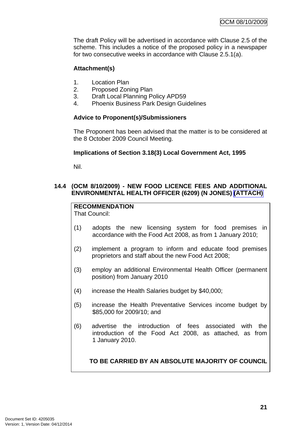<span id="page-24-0"></span>The draft Policy will be advertised in accordance with Clause 2.5 of the scheme. This includes a notice of the proposed policy in a newspaper for two consecutive weeks in accordance with Clause 2.5.1(a).

## **Attachment(s)**

- 1. Location Plan
- 2. Proposed Zoning Plan
- 3. Draft Local Planning Policy APD59
- 4. Phoenix Business Park Design Guidelines

## **Advice to Proponent(s)/Submissioners**

The Proponent has been advised that the matter is to be considered at the 8 October 2009 Council Meeting.

## **Implications of Section 3.18(3) Local Government Act, 1995**

Nil.

## **14.4 (OCM 8/10/2009) - NEW FOOD LICENCE FEES AND ADDITIONAL ENVIRONMENTAL HEALTH OFFICER (6209) (N JONES) (ATTACH)**

**RECOMMENDATION**

That Council:

- (1) adopts the new licensing system for food premises in accordance with the Food Act 2008, as from 1 January 2010;
- (2) implement a program to inform and educate food premises proprietors and staff about the new Food Act 2008;
- (3) employ an additional Environmental Health Officer (permanent position) from January 2010
- (4) increase the Health Salaries budget by \$40,000;
- (5) increase the Health Preventative Services income budget by \$85,000 for 2009/10; and
- (6) advertise the introduction of fees associated with the introduction of the Food Act 2008, as attached, as from 1 January 2010.

**TO BE CARRIED BY AN ABSOLUTE MAJORITY OF COUNCIL**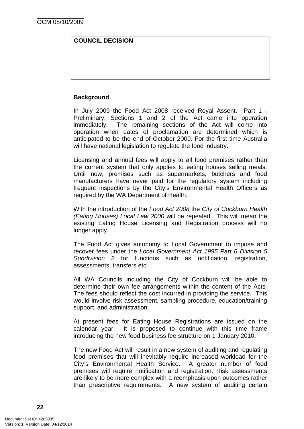## **COUNCIL DECISION**

### **Background**

In July 2009 the Food Act 2008 received Royal Assent. Part 1 - Preliminary, Sections 1 and 2 of the Act came into operation immediately. The remaining sections of the Act will come into operation when dates of proclamation are determined which is anticipated to be the end of October 2009. For the first time Australia will have national legislation to regulate the food industry.

Licensing and annual fees will apply to all food premises rather than the current system that only applies to eating houses selling meals. Until now, premises such as supermarkets, butchers and food manufacturers have never paid for the regulatory system including frequent inspections by the City's Environmental Health Officers as required by the WA Department of Health.

With the introduction of the *Food Act 2008* the *City of Cockburn Health (Eating Houses) Local Law 2000* will be repealed. This will mean the existing Eating House Licensing and Registration process will no longer apply.

The Food Act gives autonomy to Local Government to impose and recover fees under the *Local Government Act 1995 Part 6 Division 5 Subdivision 2* for functions such as notification, registration, assessments, transfers etc.

All WA Councils including the City of Cockburn will be able to determine their own fee arrangements within the content of the Acts*.* The fees should reflect the cost incurred in providing the service. This would involve risk assessment, sampling procedure, education/training support, and administration.

At present fees for Eating House Registrations are issued on the calendar year. It is proposed to continue with this time frame introducing the new food business fee structure on 1 January 2010.

The new Food Act will result in a new system of auditing and regulating food premises that will inevitably require increased workload for the City's Environmental Health Service. A greater number of food premises will require notification and registration. Risk assessments are likely to be more complex with a reemphasis upon outcomes rather than prescriptive requirements. A new system of auditing certain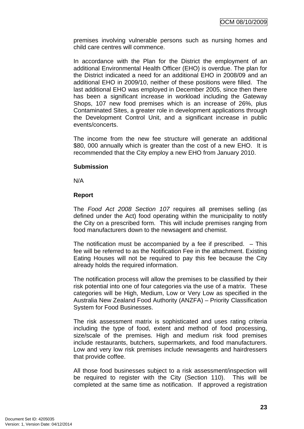premises involving vulnerable persons such as nursing homes and child care centres will commence.

In accordance with the Plan for the District the employment of an additional Environmental Health Officer (EHO) is overdue. The plan for the District indicated a need for an additional EHO in 2008/09 and an additional EHO in 2009/10, neither of these positions were filled. The last additional EHO was employed in December 2005, since then there has been a significant increase in workload including the Gateway Shops, 107 new food premises which is an increase of 26%, plus Contaminated Sites, a greater role in development applications through the Development Control Unit, and a significant increase in public events/concerts.

The income from the new fee structure will generate an additional \$80, 000 annually which is greater than the cost of a new EHO. It is recommended that the City employ a new EHO from January 2010.

#### **Submission**

N/A

#### **Report**

The *Food Act 2008 Section 107* requires all premises selling (as defined under the Act) food operating within the municipality to notify the City on a prescribed form. This will include premises ranging from food manufacturers down to the newsagent and chemist.

The notification must be accompanied by a fee if prescribed.  $-$  This fee will be referred to as the Notification Fee in the attachment. Existing Eating Houses will not be required to pay this fee because the City already holds the required information.

The notification process will allow the premises to be classified by their risk potential into one of four categories via the use of a matrix. These categories will be High, Medium, Low or Very Low as specified in the Australia New Zealand Food Authority (ANZFA) – Priority Classification System for Food Businesses.

The risk assessment matrix is sophisticated and uses rating criteria including the type of food, extent and method of food processing, size/scale of the premises. High and medium risk food premises include restaurants, butchers, supermarkets, and food manufacturers. Low and very low risk premises include newsagents and hairdressers that provide coffee.

All those food businesses subject to a risk assessment/inspection will be required to register with the City (Section 110). This will be completed at the same time as notification. If approved a registration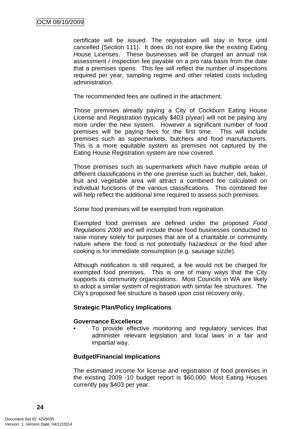certificate will be issued. The registration will stay in force until cancelled (Section 111). It does do not expire like the existing Eating House Licenses. These businesses will be charged an annual risk assessment / inspection fee payable on a pro rata basis from the date that a premises opens. This fee will reflect the number of inspections required per year, sampling regime and other related costs including administration.

The recommended fees are outlined in the attachment.

Those premises already paying a City of Cockburn Eating House License and Registration (typically \$403 p/year) will not be paying any more under the new system. However a significant number of food premises will be paying fees for the first time. This will include premises such as supermarkets, butchers and food manufacturers. This is a more equitable system as premises not captured by the Eating House Registration system are now covered.

Those premises such as supermarkets which have multiple areas of different classifications in the one premise such as butcher, deli, baker, fruit and vegetable area will attract a combined fee calculated on individual functions of the various classifications. This combined fee will help reflect the additional time required to assess such premises.

Some food premises will be exempted from registration.

Exempted food premises are defined under the proposed *Food Regulations 2009* and will include those food businesses conducted to raise money solely for purposes that are of a charitable or community nature where the food is not potentially hazardous or the food after cooking is for immediate consumption (e.g. sausage sizzle).

Although notification is still required, a fee would not be charged for exempted food premises. This is one of many ways that the City supports its community organizations. Most Councils in WA are likely to adopt a similar system of registration with similar fee structures. The City's proposed fee structure is based upon cost recovery only.

#### **Strategic Plan/Policy Implications**

#### **Governance Excellence**

To provide effective monitoring and regulatory services that administer relevant legislation and local laws in a fair and impartial way.

#### **Budget/Financial Implications**

The estimated income for license and registration of food premises in the existing 2009 -10 budget report is \$60,000. Most Eating Houses currently pay \$403 per year.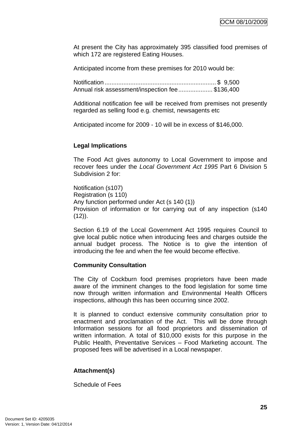At present the City has approximately 395 classified food premises of which 172 are registered Eating Houses.

Anticipated income from these premises for 2010 would be:

Notification ................................................................. \$ 9,500 Annual risk assessment/inspection fee.................... \$136,400

Additional notification fee will be received from premises not presently regarded as selling food e.g. chemist, newsagents etc

Anticipated income for 2009 - 10 will be in excess of \$146,000.

## **Legal Implications**

The Food Act gives autonomy to Local Government to impose and recover fees under the *Local Government Act 1995* Part 6 Division 5 Subdivision 2 for:

Notification (s107) Registration (s 110) Any function performed under Act (s 140 (1)) Provision of information or for carrying out of any inspection (s140  $(12)$ ).

Section 6.19 of the Local Government Act 1995 requires Council to give local public notice when introducing fees and charges outside the annual budget process. The Notice is to give the intention of introducing the fee and when the fee would become effective.

#### **Community Consultation**

The City of Cockburn food premises proprietors have been made aware of the imminent changes to the food legislation for some time now through written information and Environmental Health Officers inspections, although this has been occurring since 2002.

It is planned to conduct extensive community consultation prior to enactment and proclamation of the Act. This will be done through Information sessions for all food proprietors and dissemination of written information. A total of \$10,000 exists for this purpose in the Public Health, Preventative Services – Food Marketing account. The proposed fees will be advertised in a Local newspaper.

## **Attachment(s)**

Schedule of Fees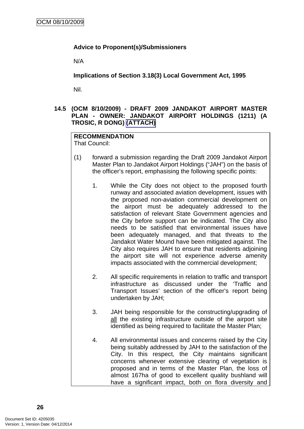## <span id="page-29-0"></span>**Advice to Proponent(s)/Submissioners**

N/A

**Implications of Section 3.18(3) Local Government Act, 1995**

Nil.

## **14.5 (OCM 8/10/2009) - DRAFT 2009 JANDAKOT AIRPORT MASTER PLAN - OWNER: JANDAKOT AIRPORT HOLDINGS (1211) (A TROSIC, R DONG) (ATTACH)**

#### **RECOMMENDATION** That Council:

- (1) forward a submission regarding the Draft 2009 Jandakot Airport Master Plan to Jandakot Airport Holdings ("JAH") on the basis of the officer's report, emphasising the following specific points:
	- 1. While the City does not object to the proposed fourth runway and associated aviation development, issues with the proposed non-aviation commercial development on the airport must be adequately addressed to the satisfaction of relevant State Government agencies and the City before support can be indicated. The City also needs to be satisfied that environmental issues have been adequately managed, and that threats to the Jandakot Water Mound have been mitigated against. The City also requires JAH to ensure that residents adjoining the airport site will not experience adverse amenity impacts associated with the commercial development;
	- 2. All specific requirements in relation to traffic and transport infrastructure as discussed under the 'Traffic and Transport Issues' section of the officer's report being undertaken by JAH;
	- 3. JAH being responsible for the constructing/upgrading of all the existing infrastructure outside of the airport site identified as being required to facilitate the Master Plan;
	- 4. All environmental issues and concerns raised by the City being suitably addressed by JAH to the satisfaction of the City. In this respect, the City maintains significant concerns whenever extensive clearing of vegetation is proposed and in terms of the Master Plan, the loss of almost 167ha of good to excellent quality bushland will have a significant impact, both on flora diversity and

**26**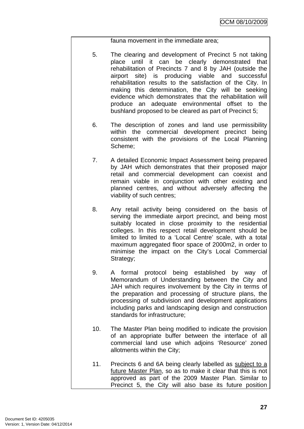fauna movement in the immediate area;

- 5. The clearing and development of Precinct 5 not taking place until it can be clearly demonstrated that rehabilitation of Precincts 7 and 8 by JAH (outside the airport site) is producing viable and successful rehabilitation results to the satisfaction of the City. In making this determination, the City will be seeking evidence which demonstrates that the rehabilitation will produce an adequate environmental offset to the bushland proposed to be cleared as part of Precinct 5;
- 6. The description of zones and land use permissibility within the commercial development precinct being consistent with the provisions of the Local Planning Scheme;
- 7. A detailed Economic Impact Assessment being prepared by JAH which demonstrates that their proposed major retail and commercial development can coexist and remain viable in conjunction with other existing and planned centres, and without adversely affecting the viability of such centres;
- 8. Any retail activity being considered on the basis of serving the immediate airport precinct, and being most suitably located in close proximity to the residential colleges. In this respect retail development should be limited to limited to a 'Local Centre' scale, with a total maximum aggregated floor space of 2000m2, in order to minimise the impact on the City's Local Commercial Strategy;
- 9. A formal protocol being established by way of Memorandum of Understanding between the City and JAH which requires involvement by the City in terms of the preparation and processing of structure plans, the processing of subdivision and development applications including parks and landscaping design and construction standards for infrastructure;
- 10. The Master Plan being modified to indicate the provision of an appropriate buffer between the interface of all commercial land use which adjoins 'Resource' zoned allotments within the City;
- 11. Precincts 6 and 6A being clearly labelled as subject to a future Master Plan, so as to make it clear that this is not approved as part of the 2009 Master Plan. Similar to Precinct 5, the City will also base its future position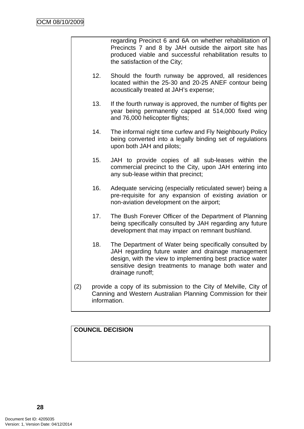regarding Precinct 6 and 6A on whether rehabilitation of Precincts 7 and 8 by JAH outside the airport site has produced viable and successful rehabilitation results to the satisfaction of the City;

- 12. Should the fourth runway be approved, all residences located within the 25-30 and 20-25 ANEF contour being acoustically treated at JAH's expense;
- 13. If the fourth runway is approved, the number of flights per year being permanently capped at 514,000 fixed wing and 76,000 helicopter flights;
- 14. The informal night time curfew and Fly Neighbourly Policy being converted into a legally binding set of regulations upon both JAH and pilots;
- 15. JAH to provide copies of all sub-leases within the commercial precinct to the City, upon JAH entering into any sub-lease within that precinct;
- 16. Adequate servicing (especially reticulated sewer) being a pre-requisite for any expansion of existing aviation or non-aviation development on the airport;
- 17. The Bush Forever Officer of the Department of Planning being specifically consulted by JAH regarding any future development that may impact on remnant bushland.
- 18. The Department of Water being specifically consulted by JAH regarding future water and drainage management design, with the view to implementing best practice water sensitive design treatments to manage both water and drainage runoff;
- (2) provide a copy of its submission to the City of Melville, City of Canning and Western Australian Planning Commission for their information.

## **COUNCIL DECISION**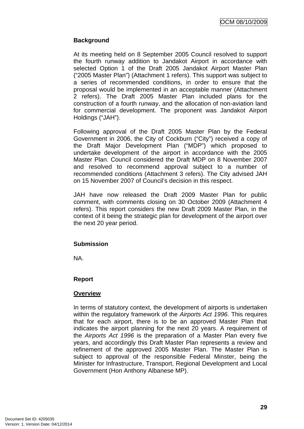## **Background**

At its meeting held on 8 September 2005 Council resolved to support the fourth runway addition to Jandakot Airport in accordance with selected Option 1 of the Draft 2005 Jandakot Airport Master Plan ("2005 Master Plan") (Attachment 1 refers). This support was subject to a series of recommended conditions, in order to ensure that the proposal would be implemented in an acceptable manner (Attachment 2 refers). The Draft 2005 Master Plan included plans for the construction of a fourth runway, and the allocation of non-aviation land for commercial development. The proponent was Jandakot Airport Holdings ("JAH").

Following approval of the Draft 2005 Master Plan by the Federal Government in 2006, the City of Cockburn ("City") received a copy of the Draft Major Development Plan ("MDP") which proposed to undertake development of the airport in accordance with the 2005 Master Plan. Council considered the Draft MDP on 8 November 2007 and resolved to recommend approval subject to a number of recommended conditions (Attachment 3 refers). The City advised JAH on 15 November 2007 of Council's decision in this respect.

JAH have now released the Draft 2009 Master Plan for public comment, with comments closing on 30 October 2009 (Attachment 4 refers). This report considers the new Draft 2009 Master Plan, in the context of it being the strategic plan for development of the airport over the next 20 year period.

#### **Submission**

NA.

## **Report**

## **Overview**

In terms of statutory context, the development of airports is undertaken within the regulatory framework of the *Airports Act 1996*. This requires that for each airport, there is to be an approved Master Plan that indicates the airport planning for the next 20 years. A requirement of the *Airports Act 1996* is the preparation of a Master Plan every five years, and accordingly this Draft Master Plan represents a review and refinement of the approved 2005 Master Plan. The Master Plan is subject to approval of the responsible Federal Minster, being the Minister for [Infrastructure, Transport, Regional Development and Local](http://www.infrastructure.gov.au/)  [Government](http://www.infrastructure.gov.au/) (Hon Anthony Albanese MP).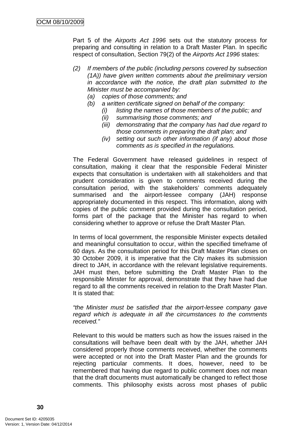Part 5 of the *Airports Act 1996* sets out the statutory process for preparing and consulting in relation to a Draft Master Plan. In specific respect of consultation, Section 79(2) of the *Airports Act 1996* states:

- *(2) If members of the public (including persons covered by subsection (1A)) have given written comments about the preliminary version in accordance with the notice, the draft plan submitted to the Minister must be accompanied by:* 
	- *(a) copies of those comments; and*
	- *(b) a written certificate signed on behalf of the company:* 
		- *(i) listing the names of those members of the public; and*
		- *(ii) summarising those comments; and*
		- *(iii) demonstrating that the company has had due regard to those comments in preparing the draft plan; and*
		- *(iv) setting out such other information (if any) about those comments as is specified in the regulations.*

The Federal Government have released guidelines in respect of consultation, making it clear that the responsible Federal Minister expects that consultation is undertaken with all stakeholders and that prudent consideration is given to comments received during the consultation period, with the stakeholders' comments adequately summarised and the airport-lessee company (JAH) response appropriately documented in this respect. This information, along with copies of the public comment provided during the consultation period, forms part of the package that the Minister has regard to when considering whether to approve or refuse the Draft Master Plan.

In terms of local government, the responsible Minister expects detailed and meaningful consultation to occur, within the specified timeframe of 60 days. As the consultation period for this Draft Master Plan closes on 30 October 2009, it is imperative that the City makes its submission direct to JAH, in accordance with the relevant legislative requirements. JAH must then, before submitting the Draft Master Plan to the responsible Minster for approval, demonstrate that they have had due regard to all the comments received in relation to the Draft Master Plan. It is stated that:

*"the Minister must be satisfied that the airport-lessee company gave regard which is adequate in all the circumstances to the comments received."* 

Relevant to this would be matters such as how the issues raised in the consultations will be/have been dealt with by the JAH, whether JAH considered properly those comments received, whether the comments were accepted or not into the Draft Master Plan and the grounds for rejecting particular comments. It does, however, need to be remembered that having due regard to public comment does not mean that the draft documents must automatically be changed to reflect those comments. This philosophy exists across most phases of public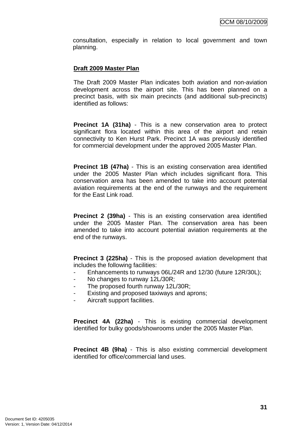consultation, especially in relation to local government and town planning.

#### **Draft 2009 Master Plan**

The Draft 2009 Master Plan indicates both aviation and non-aviation development across the airport site. This has been planned on a precinct basis, with six main precincts (and additional sub-precincts) identified as follows:

**Precinct 1A (31ha)** - This is a new conservation area to protect significant flora located within this area of the airport and retain connectivity to Ken Hurst Park. Precinct 1A was previously identified for commercial development under the approved 2005 Master Plan.

**Precinct 1B (47ha)** - This is an existing conservation area identified under the 2005 Master Plan which includes significant flora. This conservation area has been amended to take into account potential aviation requirements at the end of the runways and the requirement for the East Link road.

**Precinct 2 (39ha)** - This is an existing conservation area identified under the 2005 Master Plan. The conservation area has been amended to take into account potential aviation requirements at the end of the runways.

**Precinct 3 (225ha)** - This is the proposed aviation development that includes the following facilities:

- Enhancements to runways 06L/24R and 12/30 (future 12R/30L);
- No changes to runway 12L/30R;
- The proposed fourth runway 12L/30R;
- Existing and proposed taxiways and aprons:
- Aircraft support facilities.

**Precinct 4A (22ha)** - This is existing commercial development identified for bulky goods/showrooms under the 2005 Master Plan.

**Precinct 4B (9ha)** - This is also existing commercial development identified for office/commercial land uses.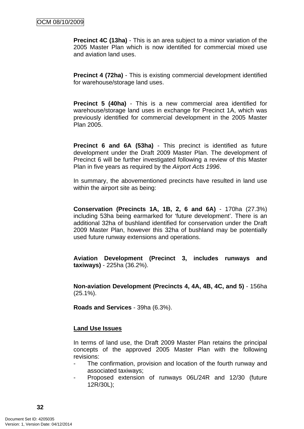**Precinct 4C (13ha)** - This is an area subject to a minor variation of the 2005 Master Plan which is now identified for commercial mixed use and aviation land uses.

**Precinct 4 (72ha)** - This is existing commercial development identified for warehouse/storage land uses.

**Precinct 5 (40ha)** - This is a new commercial area identified for warehouse/storage land uses in exchange for Precinct 1A, which was previously identified for commercial development in the 2005 Master Plan 2005.

**Precinct 6 and 6A (53ha)** - This precinct is identified as future development under the Draft 2009 Master Plan. The development of Precinct 6 will be further investigated following a review of this Master Plan in five years as required by the *Airport Acts 1996*.

In summary, the abovementioned precincts have resulted in land use within the airport site as being:

**Conservation (Precincts 1A, 1B, 2, 6 and 6A)** - 170ha (27.3%) including 53ha being earmarked for 'future development'. There is an additional 32ha of bushland identified for conservation under the Draft 2009 Master Plan, however this 32ha of bushland may be potentially used future runway extensions and operations.

**Aviation Development (Precinct 3, includes runways and taxiways)** - 225ha (36.2%).

**Non-aviation Development (Precincts 4, 4A, 4B, 4C, and 5)** - 156ha (25.1%).

**Roads and Services** - 39ha (6.3%).

#### **Land Use Issues**

In terms of land use, the Draft 2009 Master Plan retains the principal concepts of the approved 2005 Master Plan with the following revisions:

- The confirmation, provision and location of the fourth runway and associated taxiways;
- Proposed extension of runways 06L/24R and 12/30 (future 12R/30L);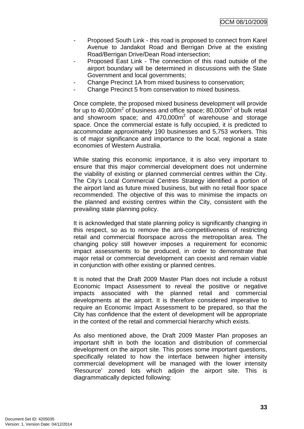OCM 08/10/2009

- Proposed South Link this road is proposed to connect from Karel Avenue to Jandakot Road and Berrigan Drive at the existing Road/Berrigan Drive/Dean Road intersection;
- Proposed East Link The connection of this road outside of the airport boundary will be determined in discussions with the State Government and local governments;
- Change Precinct 1A from mixed business to conservation:
- Change Precinct 5 from conservation to mixed business.

Once complete, the proposed mixed business development will provide for up to  $40,000$ m<sup>2</sup> of business and office space; 80,000m<sup>2</sup> of bulk retail and showroom space; and  $470,000m^2$  of warehouse and storage space. Once the commercial estate is fully occupied, it is predicted to accommodate approximately 190 businesses and 5,753 workers. This is of major significance and importance to the local, regional a state economies of Western Australia.

While stating this economic importance, it is also very important to ensure that this major commercial development does not undermine the viability of existing or planned commercial centres within the City. The City's Local Commercial Centres Strategy identified a portion of the airport land as future mixed business, but with no retail floor space recommended. The objective of this was to minimise the impacts on the planned and existing centres within the City, consistent with the prevailing state planning policy.

It is acknowledged that state planning policy is significantly changing in this respect, so as to remove the anti-competitiveness of restricting retail and commercial floorspace across the metropolitan area. The changing policy still however imposes a requirement for economic impact assessments to be produced, in order to demonstrate that major retail or commercial development can coexist and remain viable in conjunction with other existing or planned centres.

It is noted that the Draft 2009 Master Plan does not include a robust Economic Impact Assessment to reveal the positive or negative impacts associated with the planned retail and commercial developments at the airport. It is therefore considered imperative to require an Economic Impact Assessment to be prepared, so that the City has confidence that the extent of development will be appropriate in the context of the retail and commercial hierarchy which exists.

As also mentioned above, the Draft 2009 Master Plan proposes an important shift in both the location and distribution of commercial development on the airport site. This poses some important questions, specifically related to how the interface between higher intensity commercial development will be managed with the lower intensity 'Resource' zoned lots which adjoin the airport site. This is diagrammatically depicted following: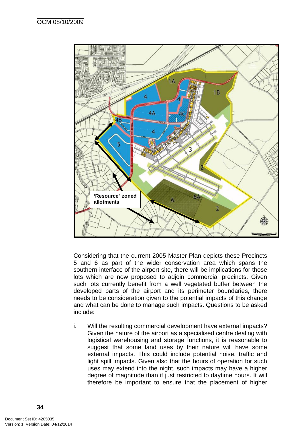

Considering that the current 2005 Master Plan depicts these Precincts 5 and 6 as part of the wider conservation area which spans the southern interface of the airport site, there will be implications for those lots which are now proposed to adjoin commercial precincts. Given such lots currently benefit from a well vegetated buffer between the developed parts of the airport and its perimeter boundaries, there needs to be consideration given to the potential impacts of this change and what can be done to manage such impacts. Questions to be asked include:

i. Will the resulting commercial development have external impacts? Given the nature of the airport as a specialised centre dealing with logistical warehousing and storage functions, it is reasonable to suggest that some land uses by their nature will have some external impacts. This could include potential noise, traffic and light spill impacts. Given also that the hours of operation for such uses may extend into the night, such impacts may have a higher degree of magnitude than if just restricted to daytime hours. It will therefore be important to ensure that the placement of higher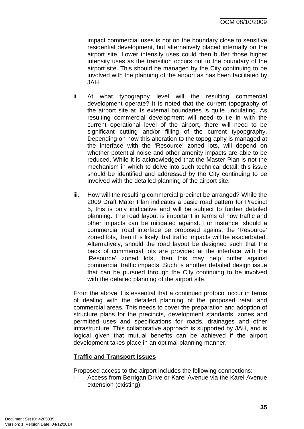impact commercial uses is not on the boundary close to sensitive residential development, but alternatively placed internally on the airport site. Lower intensity uses could then buffer those higher intensity uses as the transition occurs out to the boundary of the airport site. This should be managed by the City continuing to be involved with the planning of the airport as has been facilitated by JAH.

- ii. At what typography level will the resulting commercial development operate? It is noted that the current topography of the airport site at its external boundaries is quite undulating. As resulting commercial development will need to tie in with the current operational level of the airport, there will need to be significant cutting and/or filling of the current typopgraphy. Depending on how this alteration to the topography is managed at the interface with the 'Resource' zoned lots, will depend on whether potential noise and other amenity impacts are able to be reduced. While it is acknowledged that the Master Plan is not the mechanism in which to delve into such technical detail, this issue should be identified and addressed by the City continuing to be involved with the detailed planning of the airport site.
- iii. How will the resulting commercial precinct be arranged? While the 2009 Draft Mater Plan indicates a basic road pattern for Precinct 5, this is only inidicative and will be subject to further detailed planning. The road layout is important in terms of how traffic and other impacts can be mitigated against. For instance, should a commercial road interface be proposed against the 'Resource' zoned lots, then it is likely that traffic impacts will be exacerbated. Alternatively, should the road layout be designed such that the back of commercial lots are provided at the interface with the 'Resource' zoned lots, then this may help buffer against commercial traffic impacts. Such is another detailed design issue that can be pursued through the City continuing to be involved with the detailed planning of the airport site.

From the above it is essential that a continued protocol occur in terms of dealing with the detailed planning of the proposed retail and commercial areas. This needs to cover the preparation and adoption of structure plans for the precincts, development standards, zones and permitted uses and specifications for roads, drainages and other infrastructure. This collaborative approach is supported by JAH, and is logical given that mutual benefits can be achieved if the airport development takes place in an optimal planning manner.

# **Traffic and Transport Issues**

Proposed access to the airport includes the following connections:

- Access from Berrigan Drive or Karel Avenue via the Karel Avenue extension (existing);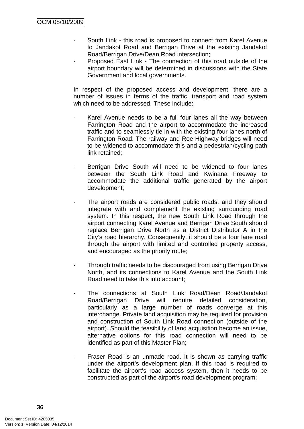- South Link this road is proposed to connect from Karel Avenue to Jandakot Road and Berrigan Drive at the existing Jandakot Road/Berrigan Drive/Dean Road intersection;
- Proposed East Link The connection of this road outside of the airport boundary will be determined in discussions with the State Government and local governments.

In respect of the proposed access and development, there are a number of issues in terms of the traffic, transport and road system which need to be addressed. These include:

- Karel Avenue needs to be a full four lanes all the way between Farrington Road and the airport to accommodate the increased traffic and to seamlessly tie in with the existing four lanes north of Farrington Road. The railway and Roe Highway bridges will need to be widened to accommodate this and a pedestrian/cycling path link retained;
- Berrigan Drive South will need to be widened to four lanes between the South Link Road and Kwinana Freeway to accommodate the additional traffic generated by the airport development;
- The airport roads are considered public roads, and they should integrate with and complement the existing surrounding road system. In this respect, the new South Link Road through the airport connecting Karel Avenue and Berrigan Drive South should replace Berrigan Drive North as a District Distributor A in the City's road hierarchy. Consequently, it should be a four lane road through the airport with limited and controlled property access, and encouraged as the priority route;
- Through traffic needs to be discouraged from using Berrigan Drive North, and its connections to Karel Avenue and the South Link Road need to take this into account;
- The connections at South Link Road/Dean Road/Jandakot Road/Berrigan Drive will require detailed consideration, particularly as a large number of roads converge at this interchange. Private land acquisition may be required for provision and construction of South Link Road connection (outside of the airport). Should the feasibility of land acquisition become an issue, alternative options for this road connection will need to be identified as part of this Master Plan;
- Fraser Road is an unmade road. It is shown as carrying traffic under the airport's development plan. If this road is required to facilitate the airport's road access system, then it needs to be constructed as part of the airport's road development program;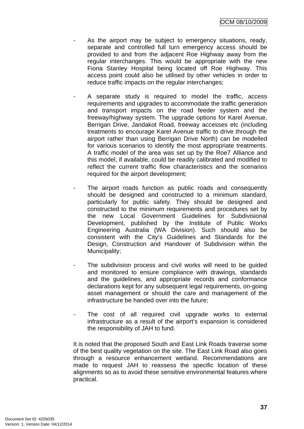- As the airport may be subject to emergency situations, ready, separate and controlled full turn emergency access should be provided to and from the adjacent Roe Highway away from the regular interchanges. This would be appropriate with the new Fiona Stanley Hospital being located off Roe Highway. This access point could also be utilised by other vehicles in order to reduce traffic impacts on the regular interchanges;
- A separate study is required to model the traffic, access requirements and upgrades to accommodate the traffic generation and transport impacts on the road feeder system and the freeway/highway system. The upgrade options for Karel Avenue, Berrigan Drive, Jandakot Road, freeway accesses etc (including treatments to encourage Karel Avenue traffic to drive through the airport rather than using Berrigan Drive North) can be modelled for various scenarios to identify the most appropriate treatments. A traffic model of the area was set up by the Roe7 Alliance and this model, if available, could be readily calibrated and modified to reflect the current traffic flow characteristics and the scenarios required for the airport development;
- The airport roads function as public roads and consequently should be designed and constructed to a minimum standard, particularly for public safety. They should be designed and constructed to the minimum requirements and procedures set by the new Local Government Guidelines for Subdivisional Development, published by the Institute of Public Works Engineering Australia (WA Division). Such should also be consistent with the City's Guidelines and Standards for the Design, Construction and Handover of Subdivision within the Municipality;
- The subdivision process and civil works will need to be guided and monitored to ensure compliance with drawings, standards and the guidelines, and appropriate records and conformance declarations kept for any subsequent legal requirements, on-going asset management or should the care and management of the infrastructure be handed over into the future;
- The cost of all required civil upgrade works to external infrastructure as a result of the airport's expansion is considered the responsibility of JAH to fund.

It is noted that the proposed South and East Link Roads traverse some of the best quality vegetation on the site. The East Link Road also goes through a resource enhancement wetland. Recommendations are made to request JAH to reassess the specific location of these alignments so as to avoid these sensitive environmental features where practical.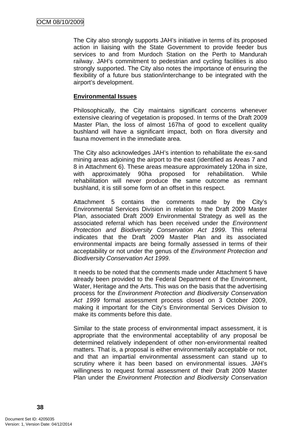The City also strongly supports JAH's initiative in terms of its proposed action in liaising with the State Government to provide feeder bus services to and from Murdoch Station on the Perth to Mandurah railway. JAH's commitment to pedestrian and cycling facilities is also strongly supported. The City also notes the importance of ensuring the flexibility of a future bus station/interchange to be integrated with the airport's development.

# **Environmental Issues**

Philosophically, the City maintains significant concerns whenever extensive clearing of vegetation is proposed. In terms of the Draft 2009 Master Plan, the loss of almost 167ha of good to excellent quality bushland will have a significant impact, both on flora diversity and fauna movement in the immediate area.

The City also acknowledges JAH's intention to rehabilitate the ex-sand mining areas adjoining the airport to the east (identified as Areas 7 and 8 in Attachment 6). These areas measure approximately 120ha in size, with approximately 90ha proposed for rehabilitation. While rehabilitation will never produce the same outcome as remnant bushland, it is still some form of an offset in this respect.

Attachment 5 contains the comments made by the City's Environmental Services Division in relation to the Draft 2009 Master Plan, associated Draft 2009 Environmental Strategy as well as the associated referral which has been received under the *Environment Protection and Biodiversity Conservation Act 1999*. This referral indicates that the Draft 2009 Master Plan and its associated environmental impacts are being formally assessed in terms of their acceptability or not under the genus of the *Environment Protection and Biodiversity Conservation Act 1999*.

It needs to be noted that the comments made under Attachment 5 have already been provided to the Federal Department of the Environment, Water, Heritage and the Arts. This was on the basis that the advertising process for the *Environment Protection and Biodiversity Conservation Act 1999* formal assessment process closed on 3 October 2009, making it important for the City's Environmental Services Division to make its comments before this date.

Similar to the state process of environmental impact assessment, it is appropriate that the environmental acceptability of any proposal be determined relatively independent of other non-environmental realted matters. That is, a proposal is either environmentally acceptable or not, and that an impartial environmental assessment can stand up to scrutiny where it has been based on environmental issues. JAH's willingness to request formal assessment of their Draft 2009 Master Plan under the *Environment Protection and Biodiversity Conservation*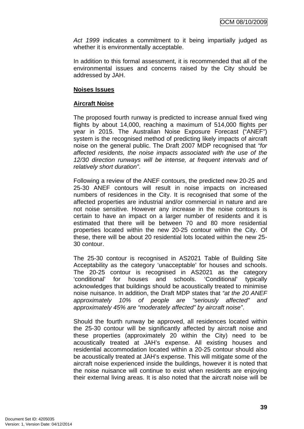*Act 1999* indicates a commitment to it being impartially judged as whether it is environmentally acceptable.

In addition to this formal assessment, it is recommended that all of the environmental issues and concerns raised by the City should be addressed by JAH.

#### **Noises Issues**

# **Aircraft Noise**

The proposed fourth runway is predicted to increase annual fixed wing flights by about 14,000, reaching a maximum of 514,000 flights per year in 2015. The Australian Noise Exposure Forecast ("ANEF") system is the recognised method of predicting likely impacts of aircraft noise on the general public. The Draft 2007 MDP recognised that *"for affected residents, the noise impacts associated with the use of the 12/30 direction runways will be intense, at frequent intervals and of relatively short duration"*.

Following a review of the ANEF contours, the predicted new 20-25 and 25-30 ANEF contours will result in noise impacts on increased numbers of residences in the City. It is recognised that some of the affected properties are industrial and/or commercial in nature and are not noise sensitive. However any increase in the noise contours is certain to have an impact on a larger number of residents and it is estimated that there will be between 70 and 80 more residential properties located within the new 20-25 contour within the City. Of these, there will be about 20 residential lots located within the new 25- 30 contour.

The 25-30 contour is recognised in AS2021 Table of Building Site Acceptability as the category 'unacceptable' for houses and schools. The 20-25 contour is recognised in AS2021 as the category 'conditional' for houses and schools. 'Conditional' typically acknowledges that buildings should be acoustically treated to minimise noise nuisance. In addition, the Draft MDP states that *"at the 20 ANEF approximately 10% of people are "seriously affected" and approximately 45% are "moderately affected" by aircraft noise"*.

Should the fourth runway be approved, all residences located within the 25-30 contour will be significantly affected by aircraft noise and these properties (approximately 20 within the City) need to be acoustically treated at JAH's expense. All existing houses and residential accommodation located within a 20-25 contour should also be acoustically treated at JAH's expense. This will mitigate some of the aircraft noise experienced inside the buildings, however it is noted that the noise nuisance will continue to exist when residents are enjoying their external living areas. It is also noted that the aircraft noise will be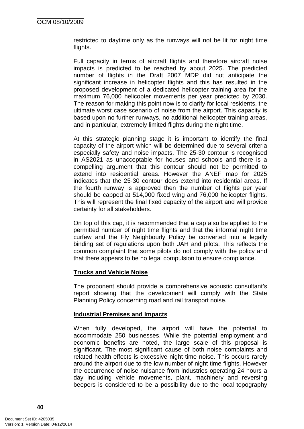restricted to daytime only as the runways will not be lit for night time flights.

Full capacity in terms of aircraft flights and therefore aircraft noise impacts is predicted to be reached by about 2025. The predicted number of flights in the Draft 2007 MDP did not anticipate the significant increase in helicopter flights and this has resulted in the proposed development of a dedicated helicopter training area for the maximum 76,000 helicopter movements per year predicted by 2030. The reason for making this point now is to clarify for local residents, the ultimate worst case scenario of noise from the airport. This capacity is based upon no further runways, no additional helicopter training areas, and in particular, extremely limited flights during the night time.

At this strategic planning stage it is important to identify the final capacity of the airport which will be determined due to several criteria especially safety and noise impacts. The 25-30 contour is recognised in AS2021 as unacceptable for houses and schools and there is a compelling argument that this contour should not be permitted to extend into residential areas. However the ANEF map for 2025 indicates that the 25-30 contour does extend into residential areas. If the fourth runway is approved then the number of flights per year should be capped at 514,000 fixed wing and 76,000 helicopter flights. This will represent the final fixed capacity of the airport and will provide certainty for all stakeholders.

On top of this cap, it is recommended that a cap also be applied to the permitted number of night time flights and that the informal night time curfew and the Fly Neighbourly Policy be converted into a legally binding set of regulations upon both JAH and pilots. This reflects the common complaint that some pilots do not comply with the policy and that there appears to be no legal compulsion to ensure compliance.

# **Trucks and Vehicle Noise**

The proponent should provide a comprehensive acoustic consultant's report showing that the development will comply with the State Planning Policy concerning road and rail transport noise.

# **Industrial Premises and Impacts**

When fully developed, the airport will have the potential to accommodate 250 businesses. While the potential employment and economic benefits are noted, the large scale of this proposal is significant. The most significant cause of both noise complaints and related health effects is excessive night time noise. This occurs rarely around the airport due to the low number of night time flights. However the occurrence of noise nuisance from industries operating 24 hours a day including vehicle movements, plant, machinery and reversing beepers is considered to be a possibility due to the local topography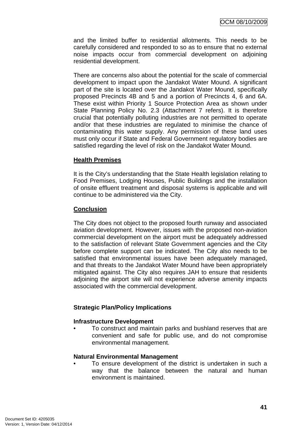and the limited buffer to residential allotments. This needs to be carefully considered and responded to so as to ensure that no external noise impacts occur from commercial development on adjoining residential development.

There are concerns also about the potential for the scale of commercial development to impact upon the Jandakot Water Mound. A significant part of the site is located over the Jandakot Water Mound, specifically proposed Precincts 4B and 5 and a portion of Precincts 4, 6 and 6A. These exist within Priority 1 Source Protection Area as shown under State Planning Policy No. 2.3 (Attachment 7 refers). It is therefore crucial that potentially polluting industries are not permitted to operate and/or that these industries are regulated to minimise the chance of contaminating this water supply. Any permission of these land uses must only occur if State and Federal Government regulatory bodies are satisfied regarding the level of risk on the Jandakot Water Mound.

# **Health Premises**

It is the City's understanding that the State Health legislation relating to Food Premises, Lodging Houses, Public Buildings and the installation of onsite effluent treatment and disposal systems is applicable and will continue to be administered via the City.

# **Conclusion**

The City does not object to the proposed fourth runway and associated aviation development. However, issues with the proposed non-aviation commercial development on the airport must be adequately addressed to the satisfaction of relevant State Government agencies and the City before complete support can be indicated. The City also needs to be satisfied that environmental issues have been adequately managed, and that threats to the Jandakot Water Mound have been appropriately mitigated against. The City also requires JAH to ensure that residents adjoining the airport site will not experience adverse amenity impacts associated with the commercial development.

# **Strategic Plan/Policy Implications**

# **Infrastructure Development**

• To construct and maintain parks and bushland reserves that are convenient and safe for public use, and do not compromise environmental management.

# **Natural Environmental Management**

To ensure development of the district is undertaken in such a way that the balance between the natural and human environment is maintained.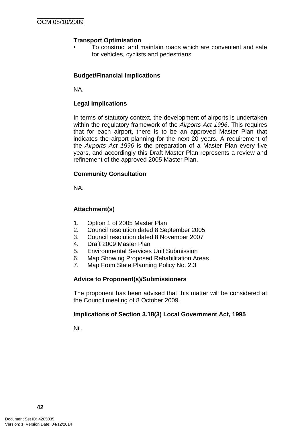# **Transport Optimisation**

• To construct and maintain roads which are convenient and safe for vehicles, cyclists and pedestrians.

# **Budget/Financial Implications**

NA.

# **Legal Implications**

In terms of statutory context, the development of airports is undertaken within the regulatory framework of the *Airports Act 1996*. This requires that for each airport, there is to be an approved Master Plan that indicates the airport planning for the next 20 years. A requirement of the *Airports Act 1996* is the preparation of a Master Plan every five years, and accordingly this Draft Master Plan represents a review and refinement of the approved 2005 Master Plan.

# **Community Consultation**

NA.

# **Attachment(s)**

- 1. Option 1 of 2005 Master Plan
- 2. Council resolution dated 8 September 2005
- 3. Council resolution dated 8 November 2007
- 4. Draft 2009 Master Plan
- 5. Environmental Services Unit Submission
- 6. Map Showing Proposed Rehabilitation Areas
- 7. Map From State Planning Policy No. 2.3

# **Advice to Proponent(s)/Submissioners**

The proponent has been advised that this matter will be considered at the Council meeting of 8 October 2009.

# **Implications of Section 3.18(3) Local Government Act, 1995**

Nil.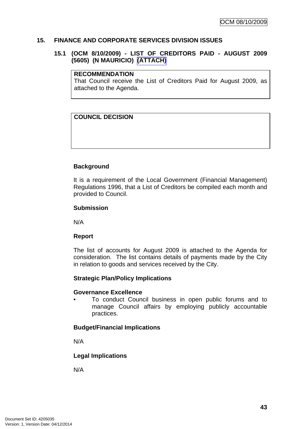# **15. FINANCE AND CORPORATE SERVICES DIVISION ISSUES**

# **15.1 (OCM 8/10/2009) - LIST OF CREDITORS PAID - AUGUST 2009 (5605) (N MAURICIO) (ATTACH)**

#### **RECOMMENDATION**

That Council receive the List of Creditors Paid for August 2009, as attached to the Agenda.

# **COUNCIL DECISION**

# **Background**

It is a requirement of the Local Government (Financial Management) Regulations 1996, that a List of Creditors be compiled each month and provided to Council.

#### **Submission**

N/A

# **Report**

The list of accounts for August 2009 is attached to the Agenda for consideration. The list contains details of payments made by the City in relation to goods and services received by the City.

# **Strategic Plan/Policy Implications**

#### **Governance Excellence**

• To conduct Council business in open public forums and to manage Council affairs by employing publicly accountable practices.

# **Budget/Financial Implications**

N/A

# **Legal Implications**

N/A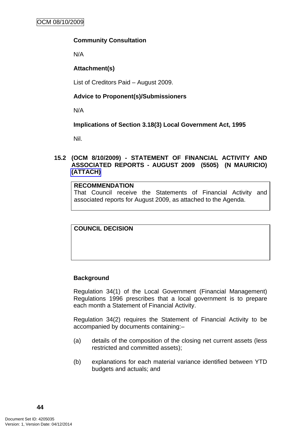# **Community Consultation**

N/A

# **Attachment(s)**

List of Creditors Paid – August 2009.

# **Advice to Proponent(s)/Submissioners**

N/A

# **Implications of Section 3.18(3) Local Government Act, 1995**

Nil.

# **15.2 (OCM 8/10/2009) - STATEMENT OF FINANCIAL ACTIVITY AND ASSOCIATED REPORTS - AUGUST 2009 (5505) (N MAURICIO) (ATTACH)**

# **RECOMMENDATION**

That Council receive the Statements of Financial Activity and associated reports for August 2009, as attached to the Agenda.

# **COUNCIL DECISION**

# **Background**

Regulation 34(1) of the Local Government (Financial Management) Regulations 1996 prescribes that a local government is to prepare each month a Statement of Financial Activity.

Regulation 34(2) requires the Statement of Financial Activity to be accompanied by documents containing:–

- (a) details of the composition of the closing net current assets (less restricted and committed assets);
- (b) explanations for each material variance identified between YTD budgets and actuals; and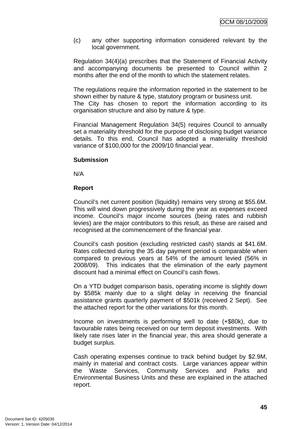(c) any other supporting information considered relevant by the local government.

Regulation 34(4)(a) prescribes that the Statement of Financial Activity and accompanying documents be presented to Council within 2 months after the end of the month to which the statement relates.

The regulations require the information reported in the statement to be shown either by nature & type, statutory program or business unit.

The City has chosen to report the information according to its organisation structure and also by nature & type.

Financial Management Regulation 34(5) requires Council to annually set a materiality threshold for the purpose of disclosing budget variance details. To this end, Council has adopted a materiality threshold variance of \$100,000 for the 2009/10 financial year.

# **Submission**

N/A

# **Report**

Council's net current position (liquidity) remains very strong at \$55.6M. This will wind down progressively during the year as expenses exceed income. Council's major income sources (being rates and rubbish levies) are the major contributors to this result, as these are raised and recognised at the commencement of the financial year.

Council's cash position (excluding restricted cash) stands at \$41.6M. Rates collected during the 35 day payment period is comparable when compared to previous years at 54% of the amount levied (56% in 2008/09). This indicates that the elimination of the early payment discount had a minimal effect on Council's cash flows.

On a YTD budget comparison basis, operating income is slightly down by \$585k mainly due to a slight delay in receiving the financial assistance grants quarterly payment of \$501k (received 2 Sept). See the attached report for the other variations for this month.

Income on investments is performing well to date (+\$80k), due to favourable rates being received on our term deposit investments. With likely rate rises later in the financial year, this area should generate a budget surplus.

Cash operating expenses continue to track behind budget by \$2.9M, mainly in material and contract costs. Large variances appear within the Waste Services, Community Services and Parks and Environmental Business Units and these are explained in the attached report.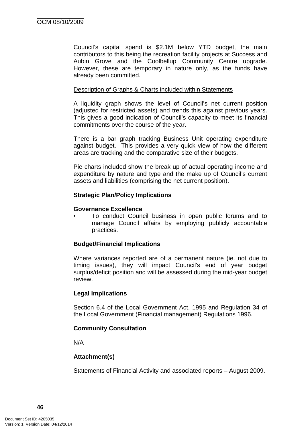Council's capital spend is \$2.1M below YTD budget, the main contributors to this being the recreation facility projects at Success and Aubin Grove and the Coolbellup Community Centre upgrade. However, these are temporary in nature only, as the funds have already been committed.

#### Description of Graphs & Charts included within Statements

A liquidity graph shows the level of Council's net current position (adjusted for restricted assets) and trends this against previous years. This gives a good indication of Council's capacity to meet its financial commitments over the course of the year.

There is a bar graph tracking Business Unit operating expenditure against budget. This provides a very quick view of how the different areas are tracking and the comparative size of their budgets.

Pie charts included show the break up of actual operating income and expenditure by nature and type and the make up of Council's current assets and liabilities (comprising the net current position).

# **Strategic Plan/Policy Implications**

#### **Governance Excellence**

• To conduct Council business in open public forums and to manage Council affairs by employing publicly accountable practices.

# **Budget/Financial Implications**

Where variances reported are of a permanent nature (ie. not due to timing issues), they will impact Council's end of year budget surplus/deficit position and will be assessed during the mid-year budget review.

#### **Legal Implications**

Section 6.4 of the Local Government Act, 1995 and Regulation 34 of the Local Government (Financial management) Regulations 1996.

# **Community Consultation**

N/A

# **Attachment(s)**

Statements of Financial Activity and associated reports – August 2009.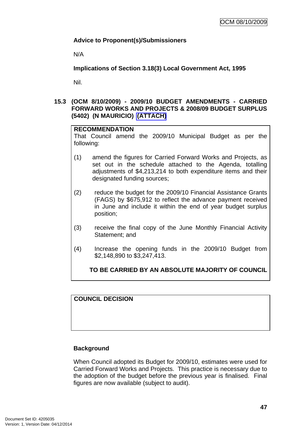# **Advice to Proponent(s)/Submissioners**

N/A

**Implications of Section 3.18(3) Local Government Act, 1995**

Nil.

# **15.3 (OCM 8/10/2009) - 2009/10 BUDGET AMENDMENTS - CARRIED FORWARD WORKS AND PROJECTS & 2008/09 BUDGET SURPLUS (5402) (N MAURICIO) (ATTACH)**

# **RECOMMENDATION**

That Council amend the 2009/10 Municipal Budget as per the following:

- (1) amend the figures for Carried Forward Works and Projects, as set out in the schedule attached to the Agenda, totalling adjustments of \$4,213,214 to both expenditure items and their designated funding sources;
- (2) reduce the budget for the 2009/10 Financial Assistance Grants (FAGS) by \$675,912 to reflect the advance payment received in June and include it within the end of year budget surplus position;
- (3) receive the final copy of the June Monthly Financial Activity Statement; and
- (4) Increase the opening funds in the 2009/10 Budget from \$2,148,890 to \$3,247,413.

**TO BE CARRIED BY AN ABSOLUTE MAJORITY OF COUNCIL**

# **COUNCIL DECISION**

# **Background**

When Council adopted its Budget for 2009/10, estimates were used for Carried Forward Works and Projects. This practice is necessary due to the adoption of the budget before the previous year is finalised. Final figures are now available (subject to audit).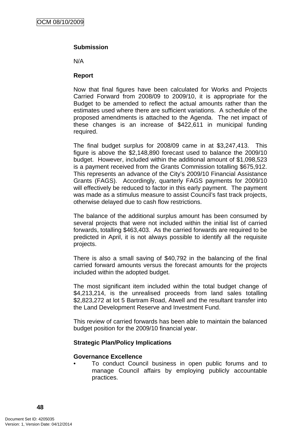# **Submission**

N/A

# **Report**

Now that final figures have been calculated for Works and Projects Carried Forward from 2008/09 to 2009/10, it is appropriate for the Budget to be amended to reflect the actual amounts rather than the estimates used where there are sufficient variations. A schedule of the proposed amendments is attached to the Agenda. The net impact of these changes is an increase of \$422,611 in municipal funding required.

The final budget surplus for 2008/09 came in at \$3,247,413. This figure is above the \$2,148,890 forecast used to balance the 2009/10 budget. However, included within the additional amount of \$1,098,523 is a payment received from the Grants Commission totalling \$675,912. This represents an advance of the City's 2009/10 Financial Assistance Grants (FAGS). Accordingly, quarterly FAGS payments for 2009/10 will effectively be reduced to factor in this early payment. The payment was made as a stimulus measure to assist Council's fast track projects, otherwise delayed due to cash flow restrictions.

The balance of the additional surplus amount has been consumed by several projects that were not included within the initial list of carried forwards, totalling \$463,403. As the carried forwards are required to be predicted in April, it is not always possible to identify all the requisite projects.

There is also a small saving of \$40,792 in the balancing of the final carried forward amounts versus the forecast amounts for the projects included within the adopted budget.

The most significant item included within the total budget change of \$4,213,214, is the unrealised proceeds from land sales totalling \$2,823,272 at lot 5 Bartram Road, Atwell and the resultant transfer into the Land Development Reserve and Investment Fund.

This review of carried forwards has been able to maintain the balanced budget position for the 2009/10 financial year.

# **Strategic Plan/Policy Implications**

# **Governance Excellence**

• To conduct Council business in open public forums and to manage Council affairs by employing publicly accountable practices.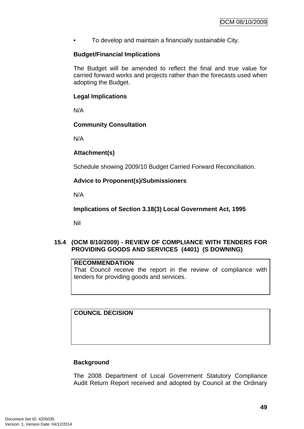• To develop and maintain a financially sustainable City.

# **Budget/Financial Implications**

The Budget will be amended to reflect the final and true value for carried forward works and projects rather than the forecasts used when adopting the Budget.

# **Legal Implications**

N/A

# **Community Consultation**

N/A

# **Attachment(s)**

Schedule showing 2009/10 Budget Carried Forward Reconciliation.

# **Advice to Proponent(s)/Submissioners**

N/A

**Implications of Section 3.18(3) Local Government Act, 1995**

Nil

# **15.4 (OCM 8/10/2009) - REVIEW OF COMPLIANCE WITH TENDERS FOR PROVIDING GOODS AND SERVICES (4401) (S DOWNING)**

# **RECOMMENDATION**

That Council receive the report in the review of compliance with tenders for providing goods and services.

**COUNCIL DECISION** 

# **Background**

The 2008 Department of Local Government Statutory Compliance Audit Return Report received and adopted by Council at the Ordinary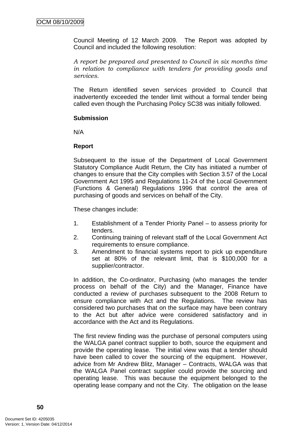Council Meeting of 12 March 2009. The Report was adopted by Council and included the following resolution:

*A report be prepared and presented to Council in six months time in relation to compliance with tenders for providing goods and services.* 

The Return identified seven services provided to Council that inadvertently exceeded the tender limit without a formal tender being called even though the Purchasing Policy SC38 was initially followed.

# **Submission**

N/A

#### **Report**

Subsequent to the issue of the Department of Local Government Statutory Compliance Audit Return, the City has initiated a number of changes to ensure that the City complies with Section 3.57 of the Local Government Act 1995 and Regulations 11-24 of the Local Government (Functions & General) Regulations 1996 that control the area of purchasing of goods and services on behalf of the City.

These changes include:

- 1. Establishment of a Tender Priority Panel to assess priority for tenders.
- 2. Continuing training of relevant staff of the Local Government Act requirements to ensure compliance.
- 3. Amendment to financial systems report to pick up expenditure set at 80% of the relevant limit, that is \$100,000 for a supplier/contractor.

In addition, the Co-ordinator, Purchasing (who manages the tender process on behalf of the City) and the Manager, Finance have conducted a review of purchases subsequent to the 2008 Return to ensure compliance with Act and the Regulations. The review has considered two purchases that on the surface may have been contrary to the Act but after advice were considered satisfactory and in accordance with the Act and its Regulations.

The first review finding was the purchase of personal computers using the WALGA panel contract supplier to both, source the equipment and provide the operating lease. The initial view was that a tender should have been called to cover the sourcing of the equipment. However, advice from Mr Andrew Blitz, Manager – Contracts, WALGA was that the WALGA Panel contract supplier could provide the sourcing and operating lease. This was because the equipment belonged to the operating lease company and not the City. The obligation on the lease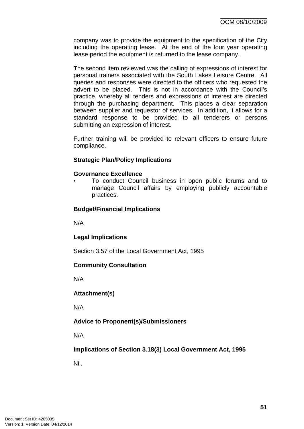company was to provide the equipment to the specification of the City including the operating lease. At the end of the four year operating lease period the equipment is returned to the lease company.

The second item reviewed was the calling of expressions of interest for personal trainers associated with the South Lakes Leisure Centre. All queries and responses were directed to the officers who requested the advert to be placed. This is not in accordance with the Council's practice, whereby all tenders and expressions of interest are directed through the purchasing department. This places a clear separation between supplier and requestor of services. In addition, it allows for a standard response to be provided to all tenderers or persons submitting an expression of interest.

Further training will be provided to relevant officers to ensure future compliance.

# **Strategic Plan/Policy Implications**

#### **Governance Excellence**

• To conduct Council business in open public forums and to manage Council affairs by employing publicly accountable practices.

# **Budget/Financial Implications**

N/A

# **Legal Implications**

Section 3.57 of the Local Government Act, 1995

# **Community Consultation**

N/A

# **Attachment(s)**

N/A

# **Advice to Proponent(s)/Submissioners**

N/A

**Implications of Section 3.18(3) Local Government Act, 1995**

Nil.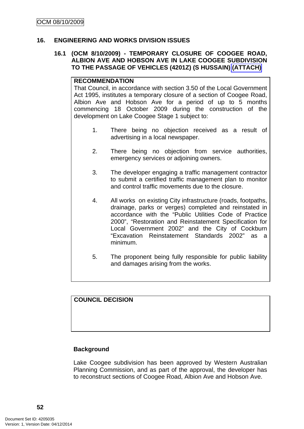#### **16. ENGINEERING AND WORKS DIVISION ISSUES**

#### **16.1 (OCM 8/10/2009) - TEMPORARY CLOSURE OF COOGEE ROAD, ALBION AVE AND HOBSON AVE IN LAKE COOGEE SUBDIVISION TO THE PASSAGE OF VEHICLES (4201Z) (S HUSSAIN) (ATTACH)**

# **RECOMMENDATION**

That Council, in accordance with section 3.50 of the Local Government Act 1995, institutes a temporary closure of a section of Coogee Road, Albion Ave and Hobson Ave for a period of up to 5 months commencing 18 October 2009 during the construction of the development on Lake Coogee Stage 1 subject to:

- 1. There being no objection received as a result of advertising in a local newspaper.
- 2. There being no objection from service authorities, emergency services or adjoining owners.
- 3. The developer engaging a traffic management contractor to submit a certified traffic management plan to monitor and control traffic movements due to the closure.
- 4. All works on existing City infrastructure (roads, footpaths, drainage, parks or verges) completed and reinstated in accordance with the "Public Utilities Code of Practice 2000", "Restoration and Reinstatement Specification for Local Government 2002" and the City of Cockburn "Excavation Reinstatement Standards 2002" as a minimum.
- 5. The proponent being fully responsible for public liability and damages arising from the works.

# **COUNCIL DECISION**

# **Background**

Lake Coogee subdivision has been approved by Western Australian Planning Commission, and as part of the approval, the developer has to reconstruct sections of Coogee Road, Albion Ave and Hobson Ave.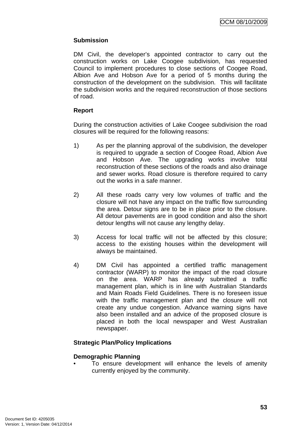# **Submission**

DM Civil, the developer's appointed contractor to carry out the construction works on Lake Coogee subdivision, has requested Council to implement procedures to close sections of Coogee Road, Albion Ave and Hobson Ave for a period of 5 months during the construction of the development on the subdivision. This will facilitate the subdivision works and the required reconstruction of those sections of road.

# **Report**

During the construction activities of Lake Coogee subdivision the road closures will be required for the following reasons:

- 1) As per the planning approval of the subdivision, the developer is required to upgrade a section of Coogee Road, Albion Ave and Hobson Ave. The upgrading works involve total reconstruction of these sections of the roads and also drainage and sewer works. Road closure is therefore required to carry out the works in a safe manner.
- 2) All these roads carry very low volumes of traffic and the closure will not have any impact on the traffic flow surrounding the area. Detour signs are to be in place prior to the closure. All detour pavements are in good condition and also the short detour lengths will not cause any lengthy delay.
- 3) Access for local traffic will not be affected by this closure; access to the existing houses within the development will always be maintained.
- 4) DM Civil has appointed a certified traffic management contractor (WARP) to monitor the impact of the road closure on the area. WARP has already submitted a traffic management plan, which is in line with Australian Standards and Main Roads Field Guidelines. There is no foreseen issue with the traffic management plan and the closure will not create any undue congestion. Advance warning signs have also been installed and an advice of the proposed closure is placed in both the local newspaper and West Australian newspaper.

# **Strategic Plan/Policy Implications**

# **Demographic Planning**

To ensure development will enhance the levels of amenity currently enjoyed by the community.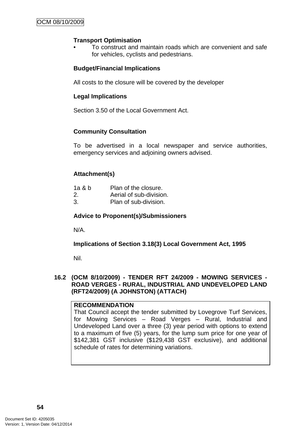# **Transport Optimisation**

• To construct and maintain roads which are convenient and safe for vehicles, cyclists and pedestrians.

# **Budget/Financial Implications**

All costs to the closure will be covered by the developer

# **Legal Implications**

Section 3.50 of the Local Government Act.

# **Community Consultation**

To be advertised in a local newspaper and service authorities, emergency services and adjoining owners advised.

# **Attachment(s)**

| 1a & b | Plan of the closure.    |
|--------|-------------------------|
| 2.     | Aerial of sub-division. |
| 3.     | Plan of sub-division.   |

# **Advice to Proponent(s)/Submissioners**

N/A.

**Implications of Section 3.18(3) Local Government Act, 1995**

Nil.

#### **16.2 (OCM 8/10/2009) - TENDER RFT 24/2009 - MOWING SERVICES - ROAD VERGES - RURAL, INDUSTRIAL AND UNDEVELOPED LAND (RFT24/2009) (A JOHNSTON) (ATTACH)**

#### **RECOMMENDATION**

That Council accept the tender submitted by Lovegrove Turf Services, for Mowing Services – Road Verges – Rural, Industrial and Undeveloped Land over a three (3) year period with options to extend to a maximum of five (5) years, for the lump sum price for one year of \$142,381 GST inclusive (\$129,438 GST exclusive), and additional schedule of rates for determining variations.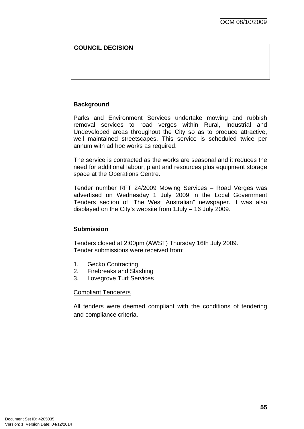# **COUNCIL DECISION**

# **Background**

Parks and Environment Services undertake mowing and rubbish removal services to road verges within Rural, Industrial and Undeveloped areas throughout the City so as to produce attractive, well maintained streetscapes. This service is scheduled twice per annum with ad hoc works as required.

The service is contracted as the works are seasonal and it reduces the need for additional labour, plant and resources plus equipment storage space at the Operations Centre.

Tender number RFT 24/2009 Mowing Services – Road Verges was advertised on Wednesday 1 July 2009 in the Local Government Tenders section of "The West Australian" newspaper. It was also displayed on the City's website from 1July – 16 July 2009.

# **Submission**

Tenders closed at 2:00pm (AWST) Thursday 16th July 2009. Tender submissions were received from:

- 1. Gecko Contracting
- 2. Firebreaks and Slashing
- 3. Lovegrove Turf Services

# Compliant Tenderers

All tenders were deemed compliant with the conditions of tendering and compliance criteria.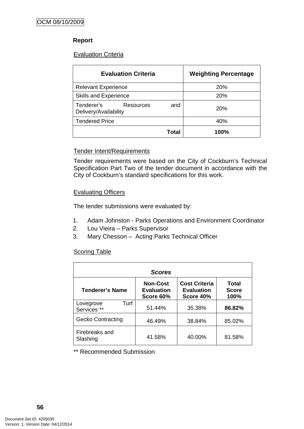# **Report**

# **Evaluation Criteria**

| <b>Evaluation Criteria</b>                                     | <b>Weighting Percentage</b> |
|----------------------------------------------------------------|-----------------------------|
| <b>Relevant Experience</b>                                     | 20%                         |
| <b>Skills and Experience</b>                                   | 20%                         |
| Tenderer's<br><b>Resources</b><br>and<br>Delivery/Availability | <b>20%</b>                  |
| <b>Tendered Price</b>                                          | 40%                         |
| Total                                                          | 100%                        |

# Tender Intent/Requirements

Tender requirements were based on the City of Cockburn's Technical Specification Part Two of the tender document in accordance with the City of Cockburn's standard specifications for this work.

# Evaluating Officers

The tender submissions were evaluated by:

- 1. Adam Johnston Parks Operations and Environment Coordinator
- 2. Lou Vieira Parks Supervisor
- 3. Mary Chesson Acting Parks Technical Officer

# **Scoring Table**

| <b>Scores</b>                    |                                                   |                                                        |                               |  |
|----------------------------------|---------------------------------------------------|--------------------------------------------------------|-------------------------------|--|
| Tenderer's Name                  | <b>Non-Cost</b><br><b>Evaluation</b><br>Score 60% | <b>Cost Criteria</b><br><b>Evaluation</b><br>Score 40% | Total<br><b>Score</b><br>100% |  |
| Turf<br>Lovegrove<br>Services ** | 51.44%                                            | 35.38%                                                 | 86.82%                        |  |
| <b>Gecko Contracting</b>         | 46.49%                                            | 38.84%                                                 | 85.02%                        |  |
| Firebreaks and<br>Slashing       | 41.58%                                            | 40.00%                                                 | 81.58%                        |  |

\*\* Recommended Submission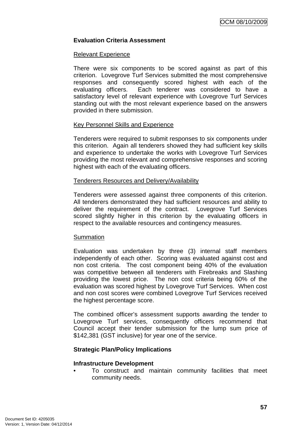# **Evaluation Criteria Assessment**

#### Relevant Experience

There were six components to be scored against as part of this criterion. Lovegrove Turf Services submitted the most comprehensive responses and consequently scored highest with each of the evaluating officers. Each tenderer was considered to have a satisfactory level of relevant experience with Lovegrove Turf Services standing out with the most relevant experience based on the answers provided in there submission.

# Key Personnel Skills and Experience

Tenderers were required to submit responses to six components under this criterion. Again all tenderers showed they had sufficient key skills and experience to undertake the works with Lovegrove Turf Services providing the most relevant and comprehensive responses and scoring highest with each of the evaluating officers.

#### Tenderers Resources and Delivery/Availability

Tenderers were assessed against three components of this criterion. All tenderers demonstrated they had sufficient resources and ability to deliver the requirement of the contract. Lovegrove Turf Services scored slightly higher in this criterion by the evaluating officers in respect to the available resources and contingency measures.

#### **Summation**

Evaluation was undertaken by three (3) internal staff members independently of each other. Scoring was evaluated against cost and non cost criteria. The cost component being 40% of the evaluation was competitive between all tenderers with Firebreaks and Slashing providing the lowest price. The non cost criteria being 60% of the evaluation was scored highest by Lovegrove Turf Services. When cost and non cost scores were combined Lovegrove Turf Services received the highest percentage score.

The combined officer's assessment supports awarding the tender to Lovegrove Turf services, consequently officers recommend that Council accept their tender submission for the lump sum price of \$142,381 (GST inclusive) for year one of the service.

# **Strategic Plan/Policy Implications**

#### **Infrastructure Development**

• To construct and maintain community facilities that meet community needs.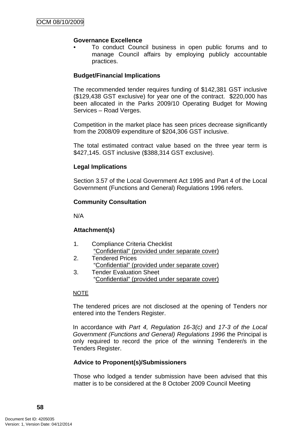# **Governance Excellence**

• To conduct Council business in open public forums and to manage Council affairs by employing publicly accountable practices.

#### **Budget/Financial Implications**

The recommended tender requires funding of \$142,381 GST inclusive (\$129,438 GST exclusive) for year one of the contract. \$220,000 has been allocated in the Parks 2009/10 Operating Budget for Mowing Services – Road Verges.

Competition in the market place has seen prices decrease significantly from the 2008/09 expenditure of \$204,306 GST inclusive.

The total estimated contract value based on the three year term is \$427,145. GST inclusive (\$388,314 GST exclusive).

#### **Legal Implications**

Section 3.57 of the Local Government Act 1995 and Part 4 of the Local Government (Functions and General) Regulations 1996 refers.

#### **Community Consultation**

N/A

# **Attachment(s)**

- 1. Compliance Criteria Checklist "Confidential" (provided under separate cover)
- 2. Tendered Prices "Confidential" (provided under separate cover)
- 3. Tender Evaluation Sheet "Confidential" (provided under separate cover)

#### NOTE

The tendered prices are not disclosed at the opening of Tenders nor entered into the Tenders Register.

In accordance with *Part 4, Regulation 16-3(c)* and *17-3 of the Local Government (Functions and General) Regulations 1996* the Principal is only required to record the price of the winning Tenderer/s in the Tenders Register.

# **Advice to Proponent(s)/Submissioners**

Those who lodged a tender submission have been advised that this matter is to be considered at the 8 October 2009 Council Meeting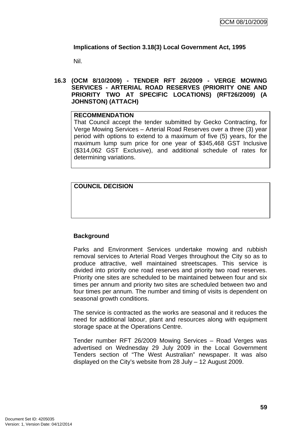# **Implications of Section 3.18(3) Local Government Act, 1995**

Nil.

# **16.3 (OCM 8/10/2009) - TENDER RFT 26/2009 - VERGE MOWING SERVICES - ARTERIAL ROAD RESERVES (PRIORITY ONE AND PRIORITY TWO AT SPECIFIC LOCATIONS) (RFT26/2009) (A JOHNSTON) (ATTACH)**

# **RECOMMENDATION**

That Council accept the tender submitted by Gecko Contracting, for Verge Mowing Services – Arterial Road Reserves over a three (3) year period with options to extend to a maximum of five (5) years, for the maximum lump sum price for one year of \$345,468 GST Inclusive (\$314,062 GST Exclusive), and additional schedule of rates for determining variations.

**COUNCIL DECISION** 

# **Background**

Parks and Environment Services undertake mowing and rubbish removal services to Arterial Road Verges throughout the City so as to produce attractive, well maintained streetscapes. This service is divided into priority one road reserves and priority two road reserves. Priority one sites are scheduled to be maintained between four and six times per annum and priority two sites are scheduled between two and four times per annum. The number and timing of visits is dependent on seasonal growth conditions.

The service is contracted as the works are seasonal and it reduces the need for additional labour, plant and resources along with equipment storage space at the Operations Centre.

Tender number RFT 26/2009 Mowing Services – Road Verges was advertised on Wednesday 29 July 2009 in the Local Government Tenders section of "The West Australian" newspaper. It was also displayed on the City's website from 28 July – 12 August 2009.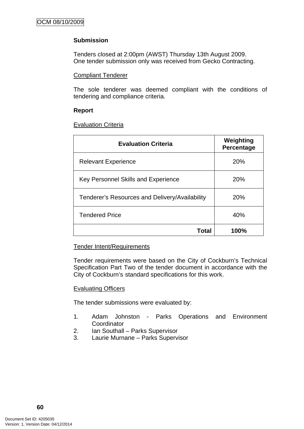# **Submission**

Tenders closed at 2:00pm (AWST) Thursday 13th August 2009. One tender submission only was received from Gecko Contracting.

# Compliant Tenderer

The sole tenderer was deemed compliant with the conditions of tendering and compliance criteria.

# **Report**

# **Evaluation Criteria**

| <b>Evaluation Criteria</b>                     | Weighting<br>Percentage |
|------------------------------------------------|-------------------------|
| <b>Relevant Experience</b>                     | 20%                     |
| Key Personnel Skills and Experience            | 20%                     |
| Tenderer's Resources and Delivery/Availability | 20%                     |
| <b>Tendered Price</b>                          | 40%                     |
| Total                                          | 100%                    |

# Tender Intent/Requirements

Tender requirements were based on the City of Cockburn's Technical Specification Part Two of the tender document in accordance with the City of Cockburn's standard specifications for this work.

# Evaluating Officers

The tender submissions were evaluated by:

- 1. Adam Johnston Parks Operations and Environment **Coordinator**
- 2. Ian Southall Parks Supervisor
- 3. Laurie Murnane Parks Supervisor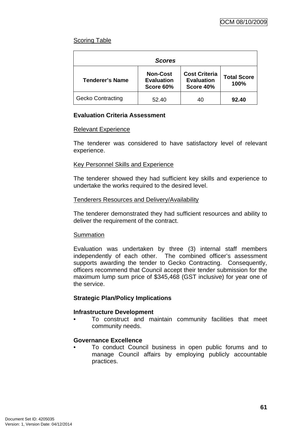# Scoring Table

| <b>Scores</b>            |                                                   |                                                        |                            |  |
|--------------------------|---------------------------------------------------|--------------------------------------------------------|----------------------------|--|
| <b>Tenderer's Name</b>   | <b>Non-Cost</b><br><b>Evaluation</b><br>Score 60% | <b>Cost Criteria</b><br><b>Evaluation</b><br>Score 40% | <b>Total Score</b><br>100% |  |
| <b>Gecko Contracting</b> | 52.40                                             | 40                                                     | 92.40                      |  |

# **Evaluation Criteria Assessment**

# Relevant Experience

The tenderer was considered to have satisfactory level of relevant experience.

# Key Personnel Skills and Experience

The tenderer showed they had sufficient key skills and experience to undertake the works required to the desired level.

#### Tenderers Resources and Delivery/Availability

The tenderer demonstrated they had sufficient resources and ability to deliver the requirement of the contract.

# **Summation**

Evaluation was undertaken by three (3) internal staff members independently of each other. The combined officer's assessment supports awarding the tender to Gecko Contracting. Consequently, officers recommend that Council accept their tender submission for the maximum lump sum price of \$345,468 (GST inclusive) for year one of the service.

# **Strategic Plan/Policy Implications**

# **Infrastructure Development**

• To construct and maintain community facilities that meet community needs.

# **Governance Excellence**

• To conduct Council business in open public forums and to manage Council affairs by employing publicly accountable practices.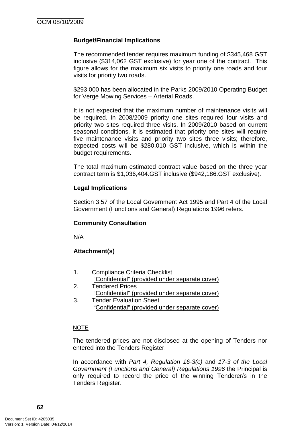# **Budget/Financial Implications**

The recommended tender requires maximum funding of \$345,468 GST inclusive (\$314,062 GST exclusive) for year one of the contract. This figure allows for the maximum six visits to priority one roads and four visits for priority two roads.

\$293,000 has been allocated in the Parks 2009/2010 Operating Budget for Verge Mowing Services – Arterial Roads.

It is not expected that the maximum number of maintenance visits will be required. In 2008/2009 priority one sites required four visits and priority two sites required three visits. In 2009/2010 based on current seasonal conditions, it is estimated that priority one sites will require five maintenance visits and priority two sites three visits; therefore, expected costs will be \$280,010 GST inclusive, which is within the budget requirements.

The total maximum estimated contract value based on the three year contract term is \$1,036,404.GST inclusive (\$942,186.GST exclusive).

# **Legal Implications**

Section 3.57 of the Local Government Act 1995 and Part 4 of the Local Government (Functions and General) Regulations 1996 refers.

# **Community Consultation**

N/A

# **Attachment(s)**

- 1. Compliance Criteria Checklist "Confidential" (provided under separate cover)
- 2. Tendered Prices "Confidential" (provided under separate cover)
- 3. Tender Evaluation Sheet "Confidential" (provided under separate cover)

#### NOTE

The tendered prices are not disclosed at the opening of Tenders nor entered into the Tenders Register.

In accordance with *Part 4, Regulation 16-3(c)* and *17-3 of the Local Government (Functions and General) Regulations 1996* the Principal is only required to record the price of the winning Tenderer/s in the Tenders Register.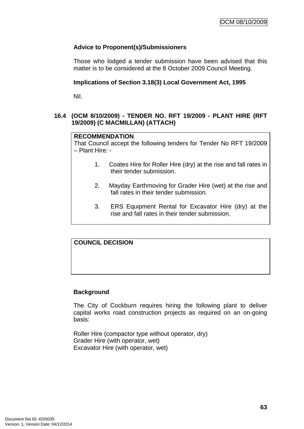# **Advice to Proponent(s)/Submissioners**

Those who lodged a tender submission have been advised that this matter is to be considered at the 8 October 2009 Council Meeting.

# **Implications of Section 3.18(3) Local Government Act, 1995**

Nil.

# **16.4 (OCM 8/10/2009) - TENDER NO. RFT 19/2009 - PLANT HIRE (RFT 19/2009) (C MACMILLAN) (ATTACH)**

# **RECOMMENDATION**

That Council accept the following tenders for Tender No RFT 19/2009 – Plant Hire: -

- 1. Coates Hire for Roller Hire (dry) at the rise and fall rates in their tender submission.
- 2. Mayday Earthmoving for Grader Hire (wet) at the rise and fall rates in their tender submission.
- 3. ERS Equipment Rental for Excavator Hire (dry) at the rise and fall rates in their tender submission.

# **COUNCIL DECISION**

# **Background**

The City of Cockburn requires hiring the following plant to deliver capital works road construction projects as required on an on-going basis:

Roller Hire (compactor type without operator, dry) Grader Hire (with operator, wet) Excavator Hire (with operator, wet)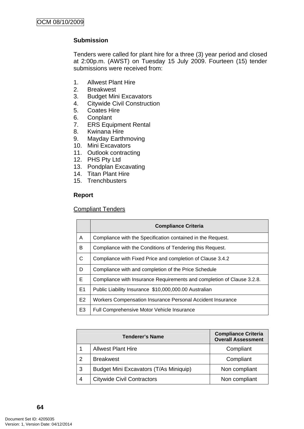# **Submission**

Tenders were called for plant hire for a three (3) year period and closed at 2:00p.m. (AWST) on Tuesday 15 July 2009. Fourteen (15) tender submissions were received from:

- 1. Allwest Plant Hire
- 2. Breakwest
- 3. Budget Mini Excavators
- 4. Citywide Civil Construction
- 5. Coates Hire
- 6. Conplant
- 7. ERS Equipment Rental
- 8. Kwinana Hire
- 9. Mayday Earthmoving
- 10. Mini Excavators
- 11. Outlook contracting
- 12. PHS Pty Ltd
- 13. Pondplan Excavating
- 14. Titan Plant Hire
- 15. Trenchbusters

#### **Report**

#### Compliant Tenders

|                | <b>Compliance Criteria</b>                                             |
|----------------|------------------------------------------------------------------------|
| A              | Compliance with the Specification contained in the Request.            |
| B              | Compliance with the Conditions of Tendering this Request.              |
| C              | Compliance with Fixed Price and completion of Clause 3.4.2             |
| D              | Compliance with and completion of the Price Schedule                   |
| E              | Compliance with Insurance Requirements and completion of Clause 3.2.8. |
| E1             | Public Liability Insurance \$10,000,000.00 Australian                  |
| E2             | Workers Compensation Insurance Personal Accident Insurance             |
| E <sub>3</sub> | Full Comprehensive Motor Vehicle Insurance                             |

| <b>Tenderer's Name</b> |                                        | <b>Compliance Criteria</b><br><b>Overall Assessment</b> |
|------------------------|----------------------------------------|---------------------------------------------------------|
|                        | <b>Allwest Plant Hire</b>              | Compliant                                               |
| $\mathcal{P}$          | <b>Breakwest</b>                       | Compliant                                               |
| 3                      | Budget Mini Excavators (T/As Miniquip) | Non compliant                                           |
| 4                      | <b>Citywide Civil Contractors</b>      | Non compliant                                           |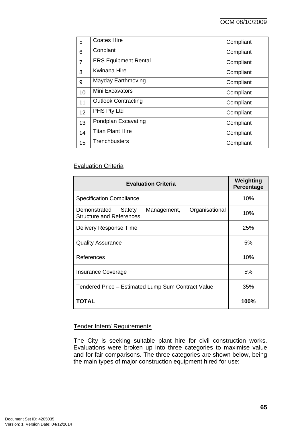| 5              | <b>Coates Hire</b>          | Compliant |
|----------------|-----------------------------|-----------|
| 6              | Conplant                    | Compliant |
| $\overline{7}$ | <b>ERS Equipment Rental</b> | Compliant |
| 8              | <b>Kwinana Hire</b>         | Compliant |
| 9              | Mayday Earthmoving          | Compliant |
| 10             | Mini Excavators             | Compliant |
| 11             | <b>Outlook Contracting</b>  | Compliant |
| 12             | PHS Pty Ltd                 | Compliant |
| 13             | Pondplan Excavating         | Compliant |
| 14             | <b>Titan Plant Hire</b>     | Compliant |
| 15             | <b>Trenchbusters</b>        | Compliant |

# **Evaluation Criteria**

| <b>Evaluation Criteria</b>                                                           | Weighting<br>Percentage |
|--------------------------------------------------------------------------------------|-------------------------|
| <b>Specification Compliance</b>                                                      | 10%                     |
| Organisational<br>Safety<br>Demonstrated<br>Management,<br>Structure and References. | 10%                     |
| Delivery Response Time                                                               | 25%                     |
| <b>Quality Assurance</b>                                                             | 5%                      |
| References                                                                           | 10%                     |
| <b>Insurance Coverage</b>                                                            | 5%                      |
| Tendered Price - Estimated Lump Sum Contract Value                                   | 35%                     |
| TOTAL                                                                                | 100%                    |

# Tender Intent/ Requirements

The City is seeking suitable plant hire for civil construction works. Evaluations were broken up into three categories to maximise value and for fair comparisons. The three categories are shown below, being the main types of major construction equipment hired for use: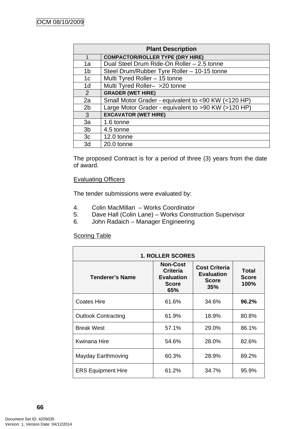| <b>Plant Description</b> |                                                     |  |
|--------------------------|-----------------------------------------------------|--|
| 1                        | <b>COMPACTOR/ROLLER TYPE (DRY HIRE)</b>             |  |
| 1a                       | Dual Steel Drum Ride-On Roller - 2.5 tonne          |  |
| 1 <sub>b</sub>           | Steel Drum/Rubber Tyre Roller - 10-15 tonne         |  |
| 1 <sub>c</sub>           | Multi Tyred Roller - 15 tonne                       |  |
| 1 <sub>d</sub>           | Multi Tyred Roller- >20 tonne                       |  |
| 2                        | <b>GRADER (WET HIRE)</b>                            |  |
| 2a                       | Small Motor Grader - equivalent to <90 KW (<120 HP) |  |
| 2 <sub>b</sub>           | Large Motor Grader - equivalent to >90 KW (>120 HP) |  |
| 3                        | <b>EXCAVATOR (WET HIRE)</b>                         |  |
| 3a                       | 1.6 tonne                                           |  |
| 3 <sub>b</sub>           | 4.5 tonne                                           |  |
| 3c                       | 12.0 tonne                                          |  |
| 3d                       | 20.0 tonne                                          |  |

The proposed Contract is for a period of three (3) years from the date of award.

# Evaluating Officers

The tender submissions were evaluated by:

- 4. Colin MacMillan Works Coordinator
- 5. Dave Hall (Colin Lane) Works Construction Supervisor
- 6. John Radaich Manager Engineering

# **Scoring Table**

Ē

| <b>1. ROLLER SCORES</b>    |                                                                                |                                                                  |                               |  |
|----------------------------|--------------------------------------------------------------------------------|------------------------------------------------------------------|-------------------------------|--|
| Tenderer's Name            | <b>Non-Cost</b><br><b>Criteria</b><br><b>Evaluation</b><br><b>Score</b><br>65% | <b>Cost Criteria</b><br><b>Evaluation</b><br><b>Score</b><br>35% | Total<br><b>Score</b><br>100% |  |
| Coates Hire                | 61.6%                                                                          | 34.6%                                                            | 96.2%                         |  |
| <b>Outlook Contracting</b> | 61.9%                                                                          | 18.9%                                                            | 80.8%                         |  |
| <b>Break West</b>          | 57.1%                                                                          | 29.0%                                                            | 86.1%                         |  |
| Kwinana Hire               | 54.6%                                                                          | 28.0%                                                            | 82.6%                         |  |
| Mayday Earthmoving         | 60.3%                                                                          | 28.9%                                                            | 89.2%                         |  |
| <b>ERS Equipment Hire</b>  | 61.2%                                                                          | 34.7%                                                            | 95.9%                         |  |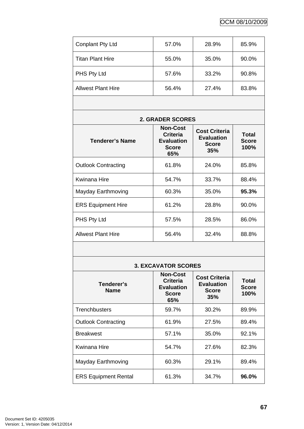| <b>Conplant Pty Ltd</b>   | 57.0% | 28.9% | 85.9% |
|---------------------------|-------|-------|-------|
| <b>Titan Plant Hire</b>   | 55.0% | 35.0% | 90.0% |
| PHS Pty Ltd               | 57.6% | 33.2% | 90.8% |
| <b>Allwest Plant Hire</b> | 56.4% | 27.4% | 83.8% |

| <b>2. GRADER SCORES</b>    |                                                                                |                                                                  |                               |  |  |
|----------------------------|--------------------------------------------------------------------------------|------------------------------------------------------------------|-------------------------------|--|--|
| Tenderer's Name            | <b>Non-Cost</b><br><b>Criteria</b><br><b>Evaluation</b><br><b>Score</b><br>65% | <b>Cost Criteria</b><br><b>Evaluation</b><br><b>Score</b><br>35% | Total<br><b>Score</b><br>100% |  |  |
| <b>Outlook Contracting</b> | 61.8%                                                                          | 24.0%                                                            | 85.8%                         |  |  |
| Kwinana Hire               | 54.7%                                                                          | 33.7%                                                            | 88.4%                         |  |  |
| Mayday Earthmoving         | 60.3%                                                                          | 35.0%                                                            | 95.3%                         |  |  |
| <b>ERS Equipment Hire</b>  | 61.2%                                                                          | 28.8%                                                            | 90.0%                         |  |  |
| PHS Pty Ltd                | 57.5%                                                                          | 28.5%                                                            | 86.0%                         |  |  |
| Allwest Plant Hire         | 56.4%                                                                          | 32.4%                                                            | 88.8%                         |  |  |
|                            |                                                                                |                                                                  |                               |  |  |

# **3. EXCAVATOR SCORES**

| Tenderer's<br><b>Name</b>   | <b>Non-Cost</b><br><b>Criteria</b><br><b>Evaluation</b><br><b>Score</b><br>65% | <b>Cost Criteria</b><br><b>Evaluation</b><br><b>Score</b><br>35% | Total<br><b>Score</b><br>100% |
|-----------------------------|--------------------------------------------------------------------------------|------------------------------------------------------------------|-------------------------------|
| <b>Trenchbusters</b>        | 59.7%                                                                          | 30.2%                                                            | 89.9%                         |
| <b>Outlook Contracting</b>  | 61.9%                                                                          | 27.5%                                                            | 89.4%                         |
| <b>Breakwest</b>            | 57.1%                                                                          | 35.0%                                                            | 92.1%                         |
| Kwinana Hire                | 54.7%                                                                          | 27.6%                                                            | 82.3%                         |
| Mayday Earthmoving          | 60.3%                                                                          | 29.1%                                                            | 89.4%                         |
| <b>ERS Equipment Rental</b> | 61.3%                                                                          | 34.7%                                                            | 96.0%                         |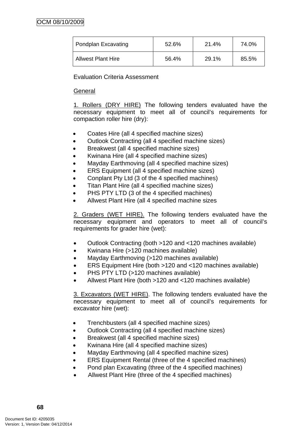| Pondplan Excavating       | 52.6% | 21.4% | 74.0% |
|---------------------------|-------|-------|-------|
| <b>Allwest Plant Hire</b> | 56.4% | 29.1% | 85.5% |

Evaluation Criteria Assessment

# General

1. Rollers (DRY HIRE) The following tenders evaluated have the necessary equipment to meet all of council's requirements for compaction roller hire (dry):

- Coates Hire (all 4 specified machine sizes)
- Outlook Contracting (all 4 specified machine sizes)
- Breakwest (all 4 specified machine sizes)
- Kwinana Hire (all 4 specified machine sizes)
- Mayday Earthmoving (all 4 specified machine sizes)
- ERS Equipment (all 4 specified machine sizes)
- Conplant Pty Ltd (3 of the 4 specified machines)
- Titan Plant Hire (all 4 specified machine sizes)
- PHS PTY LTD (3 of the 4 specified machines)
- Allwest Plant Hire (all 4 specified machine sizes

2. Graders (WET HIRE). The following tenders evaluated have the necessary equipment and operators to meet all of council's requirements for grader hire (wet):

- Outlook Contracting (both >120 and <120 machines available)
- Kwinana Hire (>120 machines available)
- Mayday Earthmoving (>120 machines available)
- ERS Equipment Hire (both >120 and <120 machines available)
- PHS PTY LTD (>120 machines available)
- Allwest Plant Hire (both >120 and <120 machines available)

3. Excavators (WET HIRE). The following tenders evaluated have the necessary equipment to meet all of council's requirements for excavator hire (wet):

- Trenchbusters (all 4 specified machine sizes)
- Outlook Contracting (all 4 specified machine sizes)
- Breakwest (all 4 specified machine sizes)
- Kwinana Hire (all 4 specified machine sizes)
- Mayday Earthmoving (all 4 specified machine sizes)
- ERS Equipment Rental (three of the 4 specified machines)
- Pond plan Excavating (three of the 4 specified machines)
- Allwest Plant Hire (three of the 4 specified machines)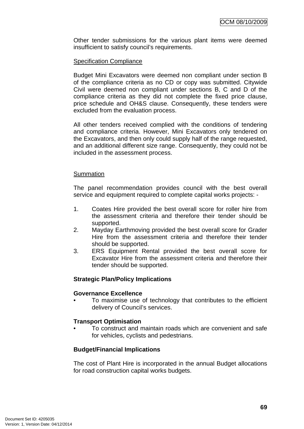Other tender submissions for the various plant items were deemed insufficient to satisfy council's requirements.

#### Specification Compliance

Budget Mini Excavators were deemed non compliant under section B of the compliance criteria as no CD or copy was submitted. Citywide Civil were deemed non compliant under sections B, C and D of the compliance criteria as they did not complete the fixed price clause, price schedule and OH&S clause. Consequently, these tenders were excluded from the evaluation process.

All other tenders received complied with the conditions of tendering and compliance criteria. However, Mini Excavators only tendered on the Excavators, and then only could supply half of the range requested, and an additional different size range. Consequently, they could not be included in the assessment process.

#### **Summation**

The panel recommendation provides council with the best overall service and equipment required to complete capital works projects: -

- 1. Coates Hire provided the best overall score for roller hire from the assessment criteria and therefore their tender should be supported.
- 2. Mayday Earthmoving provided the best overall score for Grader Hire from the assessment criteria and therefore their tender should be supported.
- 3. ERS Equipment Rental provided the best overall score for Excavator Hire from the assessment criteria and therefore their tender should be supported.

#### **Strategic Plan/Policy Implications**

#### **Governance Excellence**

• To maximise use of technology that contributes to the efficient delivery of Council's services.

#### **Transport Optimisation**

• To construct and maintain roads which are convenient and safe for vehicles, cyclists and pedestrians.

#### **Budget/Financial Implications**

The cost of Plant Hire is incorporated in the annual Budget allocations for road construction capital works budgets.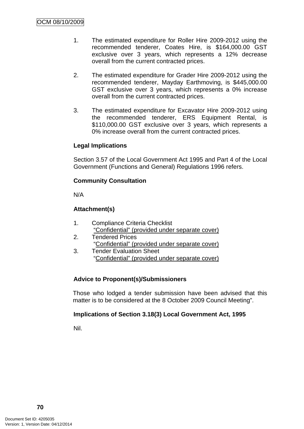- 1. The estimated expenditure for Roller Hire 2009-2012 using the recommended tenderer, Coates Hire, is \$164,000.00 GST exclusive over 3 years, which represents a 12% decrease overall from the current contracted prices.
- 2. The estimated expenditure for Grader Hire 2009-2012 using the recommended tenderer, Mayday Earthmoving, is \$445,000.00 GST exclusive over 3 years, which represents a 0% increase overall from the current contracted prices.
- 3. The estimated expenditure for Excavator Hire 2009-2012 using the recommended tenderer, ERS Equipment Rental, is \$110,000.00 GST exclusive over 3 years, which represents a 0% increase overall from the current contracted prices.

#### **Legal Implications**

Section 3.57 of the Local Government Act 1995 and Part 4 of the Local Government (Functions and General) Regulations 1996 refers.

# **Community Consultation**

N/A

# **Attachment(s)**

- 1. Compliance Criteria Checklist "Confidential" (provided under separate cover) 2. Tendered Prices
- "Confidential" (provided under separate cover) 3. Tender Evaluation Sheet
	- "Confidential" (provided under separate cover)

# **Advice to Proponent(s)/Submissioners**

Those who lodged a tender submission have been advised that this matter is to be considered at the 8 October 2009 Council Meeting".

#### **Implications of Section 3.18(3) Local Government Act, 1995**

Nil.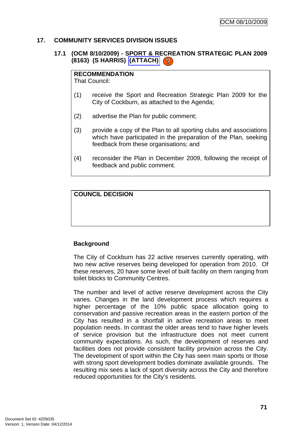## **17. COMMUNITY SERVICES DIVISION ISSUES**

# **17.1 (OCM 8/10/2009) - SPORT & RECREATION STRATEGIC PLAN 2009 (8163) (S HARRIS) (ATTACH)**

#### **RECOMMENDATION**

That Council:

- (1) receive the Sport and Recreation Strategic Plan 2009 for the City of Cockburn, as attached to the Agenda;
- (2) advertise the Plan for public comment;
- (3) provide a copy of the Plan to all sporting clubs and associations which have participated in the preparation of the Plan, seeking feedback from these organisations; and
- (4) reconsider the Plan in December 2009, following the receipt of feedback and public comment.

# **COUNCIL DECISION**

#### **Background**

The City of Cockburn has 22 active reserves currently operating, with two new active reserves being developed for operation from 2010. Of these reserves, 20 have some level of built facility on them ranging from toilet blocks to Community Centres.

The number and level of active reserve development across the City varies. Changes in the land development process which requires a higher percentage of the 10% public space allocation going to conservation and passive recreation areas in the eastern portion of the City has resulted in a shortfall in active recreation areas to meet population needs. In contrast the older areas tend to have higher levels of service provision but the infrastructure does not meet current community expectations. As such, the development of reserves and facilities does not provide consistent facility provision across the City. The development of sport within the City has seen main sports or those with strong sport development bodies dominate available grounds. The resulting mix sees a lack of sport diversity across the City and therefore reduced opportunities for the City's residents.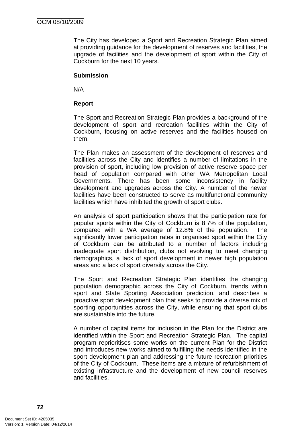The City has developed a Sport and Recreation Strategic Plan aimed at providing guidance for the development of reserves and facilities, the upgrade of facilities and the development of sport within the City of Cockburn for the next 10 years.

## **Submission**

N/A

## **Report**

The Sport and Recreation Strategic Plan provides a background of the development of sport and recreation facilities within the City of Cockburn, focusing on active reserves and the facilities housed on them.

The Plan makes an assessment of the development of reserves and facilities across the City and identifies a number of limitations in the provision of sport, including low provision of active reserve space per head of population compared with other WA Metropolitan Local Governments. There has been some inconsistency in facility development and upgrades across the City. A number of the newer facilities have been constructed to serve as multifunctional community facilities which have inhibited the growth of sport clubs.

An analysis of sport participation shows that the participation rate for popular sports within the City of Cockburn is 8.7% of the population, compared with a WA average of 12.8% of the population. The significantly lower participation rates in organised sport within the City of Cockburn can be attributed to a number of factors including inadequate sport distribution, clubs not evolving to meet changing demographics, a lack of sport development in newer high population areas and a lack of sport diversity across the City.

The Sport and Recreation Strategic Plan identifies the changing population demographic across the City of Cockburn, trends within sport and State Sporting Association prediction, and describes a proactive sport development plan that seeks to provide a diverse mix of sporting opportunities across the City, while ensuring that sport clubs are sustainable into the future.

A number of capital items for inclusion in the Plan for the District are identified within the Sport and Recreation Strategic Plan. The capital program reprioritises some works on the current Plan for the District and introduces new works aimed to fulfilling the needs identified in the sport development plan and addressing the future recreation priorities of the City of Cockburn. These items are a mixture of refurbishment of existing infrastructure and the development of new council reserves and facilities.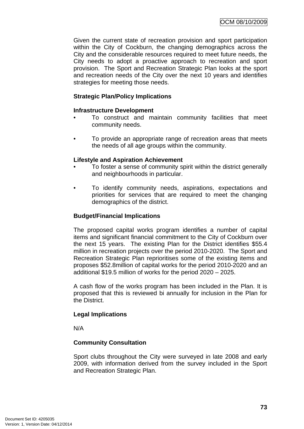Given the current state of recreation provision and sport participation within the City of Cockburn, the changing demographics across the City and the considerable resources required to meet future needs, the City needs to adopt a proactive approach to recreation and sport provision. The Sport and Recreation Strategic Plan looks at the sport and recreation needs of the City over the next 10 years and identifies strategies for meeting those needs.

# **Strategic Plan/Policy Implications**

## **Infrastructure Development**

- To construct and maintain community facilities that meet community needs.
- To provide an appropriate range of recreation areas that meets the needs of all age groups within the community.

#### **Lifestyle and Aspiration Achievement**

- To foster a sense of community spirit within the district generally and neighbourhoods in particular.
- To identify community needs, aspirations, expectations and priorities for services that are required to meet the changing demographics of the district.

## **Budget/Financial Implications**

The proposed capital works program identifies a number of capital items and significant financial commitment to the City of Cockburn over the next 15 years. The existing Plan for the District identifies \$55.4 million in recreation projects over the period 2010-2020. The Sport and Recreation Strategic Plan reprioritises some of the existing items and proposes \$52.8million of capital works for the period 2010-2020 and an additional \$19.5 million of works for the period 2020 – 2025.

A cash flow of the works program has been included in the Plan. It is proposed that this is reviewed bi annually for inclusion in the Plan for the District.

#### **Legal Implications**

N/A

# **Community Consultation**

Sport clubs throughout the City were surveyed in late 2008 and early 2009, with information derived from the survey included in the Sport and Recreation Strategic Plan.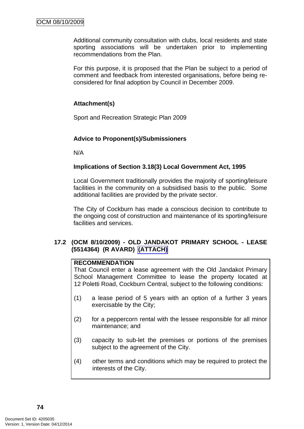Additional community consultation with clubs, local residents and state sporting associations will be undertaken prior to implementing recommendations from the Plan.

For this purpose, it is proposed that the Plan be subject to a period of comment and feedback from interested organisations, before being reconsidered for final adoption by Council in December 2009.

# **Attachment(s)**

Sport and Recreation Strategic Plan 2009

# **Advice to Proponent(s)/Submissioners**

N/A

# **Implications of Section 3.18(3) Local Government Act, 1995**

Local Government traditionally provides the majority of sporting/leisure facilities in the community on a subsidised basis to the public. Some additional facilities are provided by the private sector.

The City of Cockburn has made a conscious decision to contribute to the ongoing cost of construction and maintenance of its sporting/leisure facilities and services.

#### **17.2 (OCM 8/10/2009) - OLD JANDAKOT PRIMARY SCHOOL - LEASE (5514364) (R AVARD) (ATTACH)**

# **RECOMMENDATION**

That Council enter a lease agreement with the Old Jandakot Primary School Management Committee to lease the property located at 12 Poletti Road, Cockburn Central, subject to the following conditions:

- (1) a lease period of 5 years with an option of a further 3 years exercisable by the City;
- (2) for a peppercorn rental with the lessee responsible for all minor maintenance; and
- (3) capacity to sub-let the premises or portions of the premises subject to the agreement of the City.
- (4) other terms and conditions which may be required to protect the interests of the City.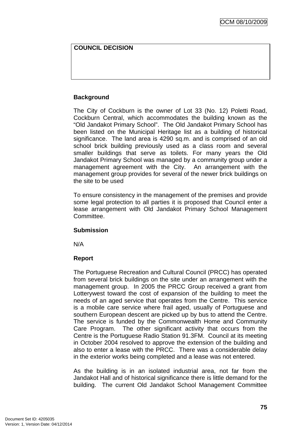# **COUNCIL DECISION**

# **Background**

The City of Cockburn is the owner of Lot 33 (No. 12) Poletti Road, Cockburn Central, which accommodates the building known as the "Old Jandakot Primary School". The Old Jandakot Primary School has been listed on the Municipal Heritage list as a building of historical significance. The land area is 4290 sq.m. and is comprised of an old school brick building previously used as a class room and several smaller buildings that serve as toilets. For many years the Old Jandakot Primary School was managed by a community group under a management agreement with the City. An arrangement with the management group provides for several of the newer brick buildings on the site to be used

To ensure consistency in the management of the premises and provide some legal protection to all parties it is proposed that Council enter a lease arrangement with Old Jandakot Primary School Management Committee.

#### **Submission**

N/A

#### **Report**

The Portuguese Recreation and Cultural Council (PRCC) has operated from several brick buildings on the site under an arrangement with the management group. In 2005 the PRCC Group received a grant from Lotterywest toward the cost of expansion of the building to meet the needs of an aged service that operates from the Centre. This service is a mobile care service where frail aged, usually of Portuguese and southern European descent are picked up by bus to attend the Centre. The service is funded by the Commonwealth Home and Community Care Program. The other significant activity that occurs from the Centre is the Portuguese Radio Station 91.3FM. Council at its meeting in October 2004 resolved to approve the extension of the building and also to enter a lease with the PRCC. There was a considerable delay in the exterior works being completed and a lease was not entered.

As the building is in an isolated industrial area, not far from the Jandakot Hall and of historical significance there is little demand for the building. The current Old Jandakot School Management Committee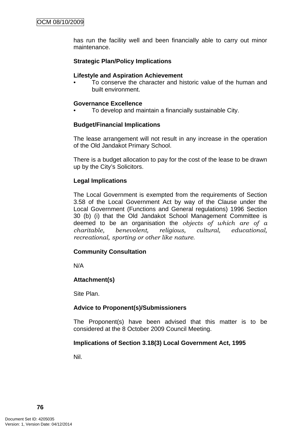has run the facility well and been financially able to carry out minor maintenance.

# **Strategic Plan/Policy Implications**

#### **Lifestyle and Aspiration Achievement**

• To conserve the character and historic value of the human and built environment.

#### **Governance Excellence**

• To develop and maintain a financially sustainable City.

#### **Budget/Financial Implications**

The lease arrangement will not result in any increase in the operation of the Old Jandakot Primary School.

There is a budget allocation to pay for the cost of the lease to be drawn up by the City's Solicitors.

#### **Legal Implications**

The Local Government is exempted from the requirements of Section 3.58 of the Local Government Act by way of the Clause under the Local Government (Functions and General regulations) 1996 Section 30 (b) (i) that the Old Jandakot School Management Committee is deemed to be an organisation the *objects of which are of a charitable, benevolent, religious, cultural, educational, recreational, sporting or other like nature*.

#### **Community Consultation**

N/A

#### **Attachment(s)**

Site Plan.

#### **Advice to Proponent(s)/Submissioners**

The Proponent(s) have been advised that this matter is to be considered at the 8 October 2009 Council Meeting.

#### **Implications of Section 3.18(3) Local Government Act, 1995**

Nil.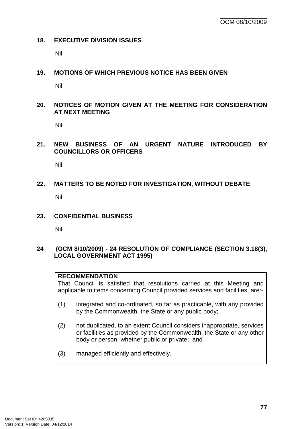#### **18. EXECUTIVE DIVISION ISSUES**

Nil

#### **19. MOTIONS OF WHICH PREVIOUS NOTICE HAS BEEN GIVEN**

Nil

# **20. NOTICES OF MOTION GIVEN AT THE MEETING FOR CONSIDERATION AT NEXT MEETING**

Nil

## **21. NEW BUSINESS OF AN URGENT NATURE INTRODUCED BY COUNCILLORS OR OFFICERS**

Nil

#### **22. MATTERS TO BE NOTED FOR INVESTIGATION, WITHOUT DEBATE**

Nil

**23. CONFIDENTIAL BUSINESS** 

Nil

#### **24 (OCM 8/10/2009) - 24 RESOLUTION OF COMPLIANCE (SECTION 3.18(3), LOCAL GOVERNMENT ACT 1995)**

#### **RECOMMENDATION**

That Council is satisfied that resolutions carried at this Meeting and applicable to items concerning Council provided services and facilities, are:-

- (1) integrated and co-ordinated, so far as practicable, with any provided by the Commonwealth, the State or any public body;
- (2) not duplicated, to an extent Council considers inappropriate, services or facilities as provided by the Commonwealth, the State or any other body or person, whether public or private; and
- (3) managed efficiently and effectively.